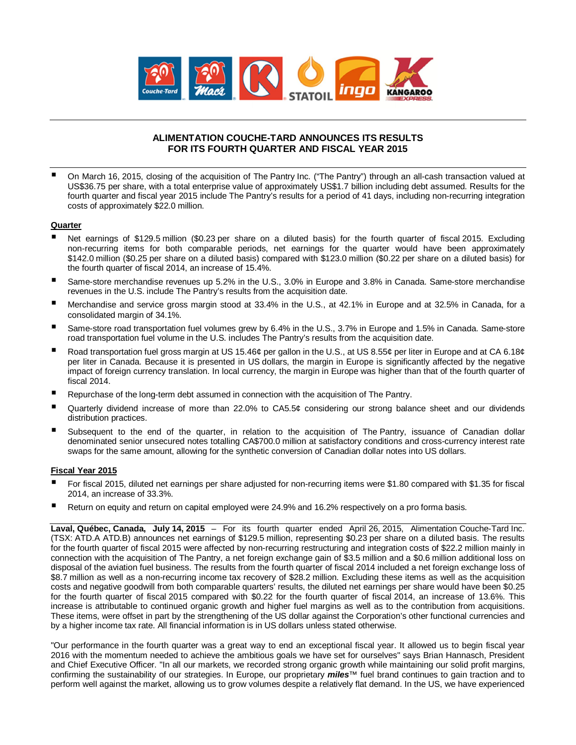

# **ALIMENTATION COUCHE-TARD ANNOUNCES ITS RESULTS FOR ITS FOURTH QUARTER AND FISCAL YEAR 2015**

 On March 16, 2015, closing of the acquisition of The Pantry Inc. ("The Pantry") through an all-cash transaction valued at US\$36.75 per share, with a total enterprise value of approximately US\$1.7 billion including debt assumed. Results for the fourth quarter and fiscal year 2015 include The Pantry's results for a period of 41 days, including non-recurring integration costs of approximately \$22.0 million.

### **Quarter**

- Net earnings of \$129.5 million (\$0.23 per share on a diluted basis) for the fourth quarter of fiscal 2015. Excluding non-recurring items for both comparable periods, net earnings for the quarter would have been approximately \$142.0 million (\$0.25 per share on a diluted basis) compared with \$123.0 million (\$0.22 per share on a diluted basis) for the fourth quarter of fiscal 2014, an increase of 15.4%.
- Same-store merchandise revenues up 5.2% in the U.S., 3.0% in Europe and 3.8% in Canada. Same-store merchandise revenues in the U.S. include The Pantry's results from the acquisition date.
- Merchandise and service gross margin stood at 33.4% in the U.S., at 42.1% in Europe and at 32.5% in Canada, for a consolidated margin of 34.1%.
- Same-store road transportation fuel volumes grew by 6.4% in the U.S., 3.7% in Europe and 1.5% in Canada. Same-store road transportation fuel volume in the U.S. includes The Pantry's results from the acquisition date.
- Road transportation fuel gross margin at US 15.46¢ per gallon in the U.S., at US 8.55¢ per liter in Europe and at CA 6.18¢ per liter in Canada. Because it is presented in US dollars, the margin in Europe is significantly affected by the negative impact of foreign currency translation. In local currency, the margin in Europe was higher than that of the fourth quarter of fiscal 2014.
- Repurchase of the long-term debt assumed in connection with the acquisition of The Pantry.
- Quarterly dividend increase of more than 22.0% to CA5.5¢ considering our strong balance sheet and our dividends distribution practices.
- Subsequent to the end of the quarter, in relation to the acquisition of The Pantry, issuance of Canadian dollar denominated senior unsecured notes totalling CA\$700.0 million at satisfactory conditions and cross-currency interest rate swaps for the same amount, allowing for the synthetic conversion of Canadian dollar notes into US dollars.

### **Fiscal Year 2015**

- For fiscal 2015, diluted net earnings per share adjusted for non-recurring items were \$1.80 compared with \$1.35 for fiscal 2014, an increase of 33.3%.
- Return on equity and return on capital employed were 24.9% and 16.2% respectively on a pro forma basis.

**Laval, Québec, Canada, July 14, 2015** – For its fourth quarter ended April 26, 2015, Alimentation Couche-Tard Inc. (TSX: ATD.A ATD.B) announces net earnings of \$129.5 million, representing \$0.23 per share on a diluted basis. The results for the fourth quarter of fiscal 2015 were affected by non-recurring restructuring and integration costs of \$22.2 million mainly in connection with the acquisition of The Pantry, a net foreign exchange gain of \$3.5 million and a \$0.6 million additional loss on disposal of the aviation fuel business. The results from the fourth quarter of fiscal 2014 included a net foreign exchange loss of \$8.7 million as well as a non-recurring income tax recovery of \$28.2 million. Excluding these items as well as the acquisition costs and negative goodwill from both comparable quarters' results, the diluted net earnings per share would have been \$0.25 for the fourth quarter of fiscal 2015 compared with \$0.22 for the fourth quarter of fiscal 2014, an increase of 13.6%. This increase is attributable to continued organic growth and higher fuel margins as well as to the contribution from acquisitions. These items, were offset in part by the strengthening of the US dollar against the Corporation's other functional currencies and by a higher income tax rate. All financial information is in US dollars unless stated otherwise.

"Our performance in the fourth quarter was a great way to end an exceptional fiscal year. It allowed us to begin fiscal year 2016 with the momentum needed to achieve the ambitious goals we have set for ourselves" says Brian Hannasch, President and Chief Executive Officer. "In all our markets, we recorded strong organic growth while maintaining our solid profit margins, confirming the sustainability of our strategies. In Europe, our proprietary *miles*™ fuel brand continues to gain traction and to perform well against the market, allowing us to grow volumes despite a relatively flat demand. In the US, we have experienced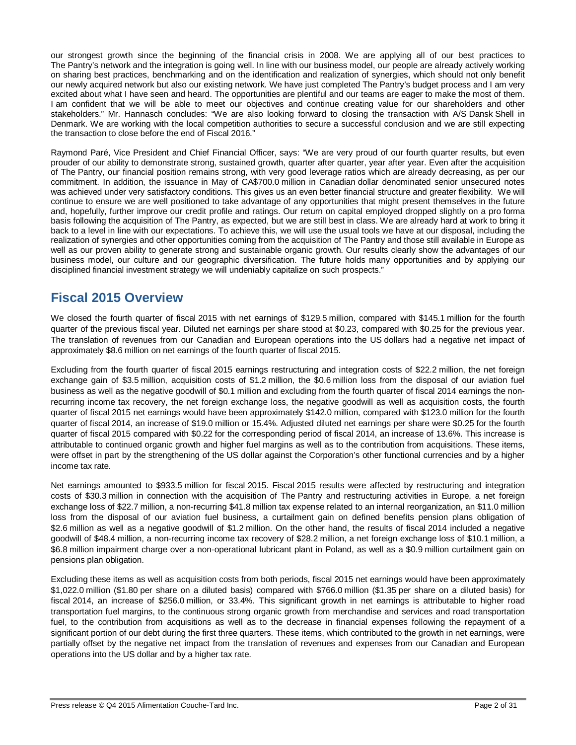our strongest growth since the beginning of the financial crisis in 2008. We are applying all of our best practices to The Pantry's network and the integration is going well. In line with our business model, our people are already actively working on sharing best practices, benchmarking and on the identification and realization of synergies, which should not only benefit our newly acquired network but also our existing network. We have just completed The Pantry's budget process and I am very excited about what I have seen and heard. The opportunities are plentiful and our teams are eager to make the most of them. I am confident that we will be able to meet our objectives and continue creating value for our shareholders and other stakeholders." Mr. Hannasch concludes: "We are also looking forward to closing the transaction with A/S Dansk Shell in Denmark. We are working with the local competition authorities to secure a successful conclusion and we are still expecting the transaction to close before the end of Fiscal 2016."

Raymond Paré, Vice President and Chief Financial Officer, says: "We are very proud of our fourth quarter results, but even prouder of our ability to demonstrate strong, sustained growth, quarter after quarter, year after year. Even after the acquisition of The Pantry, our financial position remains strong, with very good leverage ratios which are already decreasing, as per our commitment. In addition, the issuance in May of CA\$700.0 million in Canadian dollar denominated senior unsecured notes was achieved under very satisfactory conditions. This gives us an even better financial structure and greater flexibility. We will continue to ensure we are well positioned to take advantage of any opportunities that might present themselves in the future and, hopefully, further improve our credit profile and ratings. Our return on capital employed dropped slightly on a pro forma basis following the acquisition of The Pantry, as expected, but we are still best in class. We are already hard at work to bring it back to a level in line with our expectations. To achieve this, we will use the usual tools we have at our disposal, including the realization of synergies and other opportunities coming from the acquisition of The Pantry and those still available in Europe as well as our proven ability to generate strong and sustainable organic growth. Our results clearly show the advantages of our business model, our culture and our geographic diversification. The future holds many opportunities and by applying our disciplined financial investment strategy we will undeniably capitalize on such prospects."

# **Fiscal 2015 Overview**

We closed the fourth quarter of fiscal 2015 with net earnings of \$129.5 million, compared with \$145.1 million for the fourth quarter of the previous fiscal year. Diluted net earnings per share stood at \$0.23, compared with \$0.25 for the previous year. The translation of revenues from our Canadian and European operations into the US dollars had a negative net impact of approximately \$8.6 million on net earnings of the fourth quarter of fiscal 2015.

Excluding from the fourth quarter of fiscal 2015 earnings restructuring and integration costs of \$22.2 million, the net foreign exchange gain of \$3.5 million, acquisition costs of \$1.2 million, the \$0.6 million loss from the disposal of our aviation fuel business as well as the negative goodwill of \$0.1 million and excluding from the fourth quarter of fiscal 2014 earnings the nonrecurring income tax recovery, the net foreign exchange loss, the negative goodwill as well as acquisition costs, the fourth quarter of fiscal 2015 net earnings would have been approximately \$142.0 million, compared with \$123.0 million for the fourth quarter of fiscal 2014, an increase of \$19.0 million or 15.4%. Adjusted diluted net earnings per share were \$0.25 for the fourth quarter of fiscal 2015 compared with \$0.22 for the corresponding period of fiscal 2014, an increase of 13.6%. This increase is attributable to continued organic growth and higher fuel margins as well as to the contribution from acquisitions. These items, were offset in part by the strengthening of the US dollar against the Corporation's other functional currencies and by a higher income tax rate.

Net earnings amounted to \$933.5 million for fiscal 2015. Fiscal 2015 results were affected by restructuring and integration costs of \$30.3 million in connection with the acquisition of The Pantry and restructuring activities in Europe, a net foreign exchange loss of \$22.7 million, a non-recurring \$41.8 million tax expense related to an internal reorganization, an \$11.0 million loss from the disposal of our aviation fuel business, a curtailment gain on defined benefits pension plans obligation of \$2.6 million as well as a negative goodwill of \$1.2 million. On the other hand, the results of fiscal 2014 included a negative goodwill of \$48.4 million, a non-recurring income tax recovery of \$28.2 million, a net foreign exchange loss of \$10.1 million, a \$6.8 million impairment charge over a non-operational lubricant plant in Poland, as well as a \$0.9 million curtailment gain on pensions plan obligation.

Excluding these items as well as acquisition costs from both periods, fiscal 2015 net earnings would have been approximately \$1,022.0 million (\$1.80 per share on a diluted basis) compared with \$766.0 million (\$1.35 per share on a diluted basis) for fiscal 2014, an increase of \$256.0 million, or 33.4%. This significant growth in net earnings is attributable to higher road transportation fuel margins, to the continuous strong organic growth from merchandise and services and road transportation fuel, to the contribution from acquisitions as well as to the decrease in financial expenses following the repayment of a significant portion of our debt during the first three quarters. These items, which contributed to the growth in net earnings, were partially offset by the negative net impact from the translation of revenues and expenses from our Canadian and European operations into the US dollar and by a higher tax rate.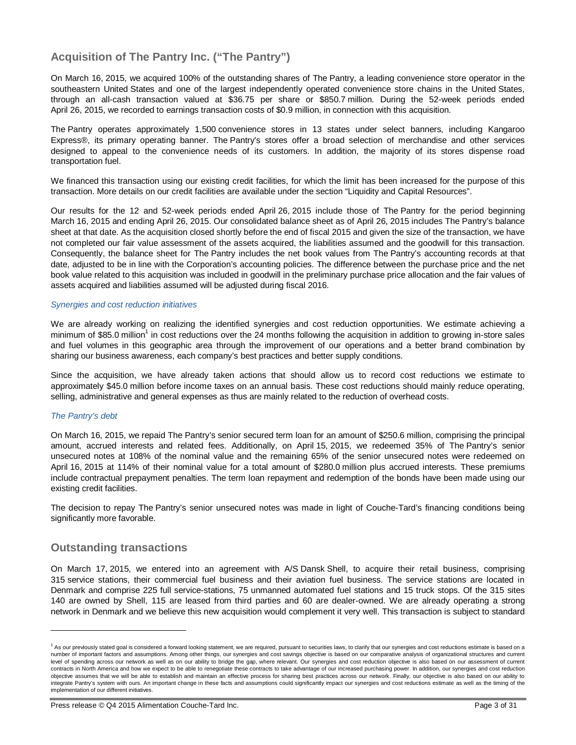# **Acquisition of The Pantry Inc. ("The Pantry")**

On March 16, 2015, we acquired 100% of the outstanding shares of The Pantry, a leading convenience store operator in the southeastern United States and one of the largest independently operated convenience store chains in the United States, through an all-cash transaction valued at \$36.75 per share or \$850.7 million. During the 52-week periods ended April 26, 2015, we recorded to earnings transaction costs of \$0.9 million, in connection with this acquisition.

The Pantry operates approximately 1,500 convenience stores in 13 states under select banners, including Kangaroo Express®, its primary operating banner. The Pantry's stores offer a broad selection of merchandise and other services designed to appeal to the convenience needs of its customers. In addition, the majority of its stores dispense road transportation fuel.

We financed this transaction using our existing credit facilities, for which the limit has been increased for the purpose of this transaction. More details on our credit facilities are available under the section "Liquidity and Capital Resources".

Our results for the 12 and 52-week periods ended April 26, 2015 include those of The Pantry for the period beginning March 16, 2015 and ending April 26, 2015. Our consolidated balance sheet as of April 26, 2015 includes The Pantry's balance sheet at that date. As the acquisition closed shortly before the end of fiscal 2015 and given the size of the transaction, we have not completed our fair value assessment of the assets acquired, the liabilities assumed and the goodwill for this transaction. Consequently, the balance sheet for The Pantry includes the net book values from The Pantry's accounting records at that date, adjusted to be in line with the Corporation's accounting policies. The difference between the purchase price and the net book value related to this acquisition was included in goodwill in the preliminary purchase price allocation and the fair values of assets acquired and liabilities assumed will be adjusted during fiscal 2016.

### *Synergies and cost reduction initiatives*

We are already working on realizing the identified synergies and cost reduction opportunities. We estimate achieving a minimum of \$85.0 million<sup>1</sup> in cost reductions over the 24 months following the acquisition in addition to growing in-store sales and fuel volumes in this geographic area through the improvement of our operations and a better brand combination by sharing our business awareness, each company's best practices and better supply conditions.

Since the acquisition, we have already taken actions that should allow us to record cost reductions we estimate to approximately \$45.0 million before income taxes on an annual basis. These cost reductions should mainly reduce operating, selling, administrative and general expenses as thus are mainly related to the reduction of overhead costs.

# *The Pantry's debt*

 $\overline{a}$ 

On March 16, 2015, we repaid The Pantry's senior secured term loan for an amount of \$250.6 million, comprising the principal amount, accrued interests and related fees. Additionally, on April 15, 2015, we redeemed 35% of The Pantry's senior unsecured notes at 108% of the nominal value and the remaining 65% of the senior unsecured notes were redeemed on April 16, 2015 at 114% of their nominal value for a total amount of \$280.0 million plus accrued interests. These premiums include contractual prepayment penalties. The term loan repayment and redemption of the bonds have been made using our existing credit facilities.

The decision to repay The Pantry's senior unsecured notes was made in light of Couche-Tard's financing conditions being significantly more favorable.

# **Outstanding transactions**

On March 17, 2015, we entered into an agreement with A/S Dansk Shell, to acquire their retail business, comprising 315 service stations, their commercial fuel business and their aviation fuel business. The service stations are located in Denmark and comprise 225 full service-stations, 75 unmanned automated fuel stations and 15 truck stops. Of the 315 sites 140 are owned by Shell, 115 are leased from third parties and 60 are dealer-owned. We are already operating a strong network in Denmark and we believe this new acquisition would complement it very well. This transaction is subject to standard

<sup>&</sup>lt;sup>1</sup> As our previously stated goal is considered a forward looking statement, we are required, pursuant to securities laws, to clarify that our synergies and cost reductions estimate is based on a number of important factors and assumptions. Among other things, our synergies and cost savings objective is based on our comparative analysis of organizational structures and current level of spending across our network as well as on our ability to bridge the gap, where relevant. Our synergies and cost reduction objective is also based on our assessment of current contracts in North America and how we expect to be able to renegotiate these contracts to take advantage of our increased purchasing power. In addition, our synergies and cost reduction objective assumes that we will be able to establish and maintain an effective process for sharing best practices across our network. Finally, our objective is also based on our ability to integrate Pantry's system with ours. An important change in these facts and assumptions could significantly impact our synergies and cost reductions estimate as well as the timing of the implementation of our different initiatives.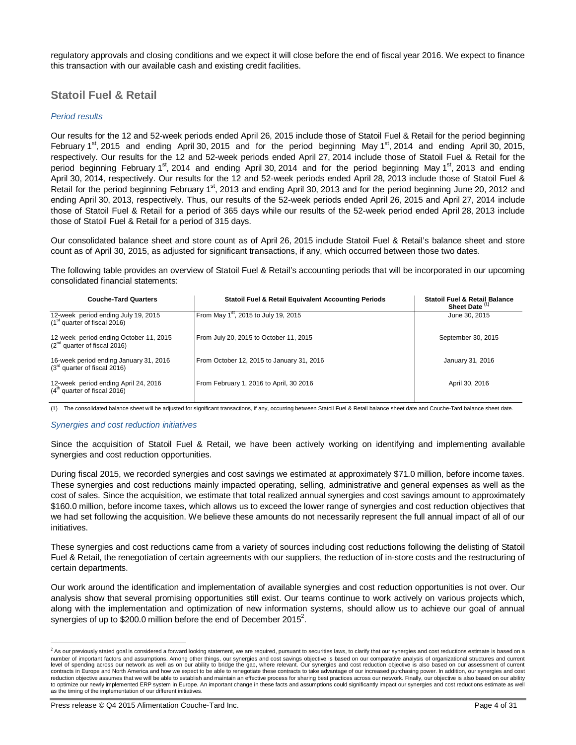regulatory approvals and closing conditions and we expect it will close before the end of fiscal year 2016. We expect to finance this transaction with our available cash and existing credit facilities.

# **Statoil Fuel & Retail**

### *Period results*

Our results for the 12 and 52-week periods ended April 26, 2015 include those of Statoil Fuel & Retail for the period beginning February 1<sup>st</sup>, 2015 and ending April 30, 2015 and for the period beginning May 1<sup>st</sup>, 2014 and ending April 30, 2015, respectively. Our results for the 12 and 52-week periods ended April 27, 2014 include those of Statoil Fuel & Retail for the period beginning February 1<sup>st</sup>, 2014 and ending April 30, 2014 and for the period beginning May 1<sup>st</sup>, 2013 and ending April 30, 2014, respectively. Our results for the 12 and 52-week periods ended April 28, 2013 include those of Statoil Fuel & Retail for the period beginning February 1<sup>st</sup>, 2013 and ending April 30, 2013 and for the period beginning June 20, 2012 and ending April 30, 2013, respectively. Thus, our results of the 52-week periods ended April 26, 2015 and April 27, 2014 include those of Statoil Fuel & Retail for a period of 365 days while our results of the 52-week period ended April 28, 2013 include those of Statoil Fuel & Retail for a period of 315 days.

Our consolidated balance sheet and store count as of April 26, 2015 include Statoil Fuel & Retail's balance sheet and store count as of April 30, 2015, as adjusted for significant transactions, if any, which occurred between those two dates.

The following table provides an overview of Statoil Fuel & Retail's accounting periods that will be incorporated in our upcoming consolidated financial statements:

| <b>Couche-Tard Quarters</b>                                                 | <b>Statoil Fuel &amp; Retail Equivalent Accounting Periods</b> | <b>Statoil Fuel &amp; Retail Balance</b><br>Sheet Date (1) |
|-----------------------------------------------------------------------------|----------------------------------------------------------------|------------------------------------------------------------|
| 12-week period ending July 19, 2015<br>$(1st$ quarter of fiscal 2016)       | From May 1 <sup>st</sup> , 2015 to July 19, 2015               | June 30, 2015                                              |
| 12-week period ending October 11, 2015<br>$(2^{nd}$ quarter of fiscal 2016) | From July 20, 2015 to October 11, 2015                         | September 30, 2015                                         |
| 16-week period ending January 31, 2016<br>$(3rd$ quarter of fiscal 2016)    | From October 12, 2015 to January 31, 2016                      | January 31, 2016                                           |
| 12-week period ending April 24, 2016<br>$(4th$ quarter of fiscal 2016)      | From February 1, 2016 to April, 30 2016                        | April 30, 2016                                             |

(1) The consolidated balance sheet will be adjusted for significant transactions, if any, occurring between Statoil Fuel & Retail balance sheet date and Couche-Tard balance sheet date.

#### *Synergies and cost reduction initiatives*

Since the acquisition of Statoil Fuel & Retail, we have been actively working on identifying and implementing available synergies and cost reduction opportunities.

During fiscal 2015, we recorded synergies and cost savings we estimated at approximately \$71.0 million, before income taxes. These synergies and cost reductions mainly impacted operating, selling, administrative and general expenses as well as the cost of sales. Since the acquisition, we estimate that total realized annual synergies and cost savings amount to approximately \$160.0 million, before income taxes, which allows us to exceed the lower range of synergies and cost reduction objectives that we had set following the acquisition. We believe these amounts do not necessarily represent the full annual impact of all of our initiatives.

These synergies and cost reductions came from a variety of sources including cost reductions following the delisting of Statoil Fuel & Retail, the renegotiation of certain agreements with our suppliers, the reduction of in-store costs and the restructuring of certain departments.

Our work around the identification and implementation of available synergies and cost reduction opportunities is not over. Our analysis show that several promising opportunities still exist. Our teams continue to work actively on various projects which, along with the implementation and optimization of new information systems, should allow us to achieve our goal of annual synergies of up to \$200.0 million before the end of December 2015<sup>2</sup>.

 2 As our previously stated goal is considered a forward looking statement, we are required, pursuant to securities laws, to clarify that our synergies and cost reductions estimate is based on a number of important factors and assumptions. Among other things, our synergies and cost savings objective is based on our comparative analysis of organizational structures and current level of spending across our network as well as on our ability to bridge the gap, where relevant. Our synergies and cost reduction objective is also based on our assessment of current contracts in Europe and North America and how we expect to be able to renegotiate these contracts to take advantage of our increased purchasing power. In addition, our synergies and cost<br>reduction objective assumes that we to optimize our newly implemented ERP system in Europe. An important change in these facts and assumptions could significantly impact our synergies and cost reductions estimate as well as the timing of the implementation of our different initiatives.

Press release © Q4 2015 Alimentation Couche-Tard Inc. **Page 4 of 31** Page 4 of 31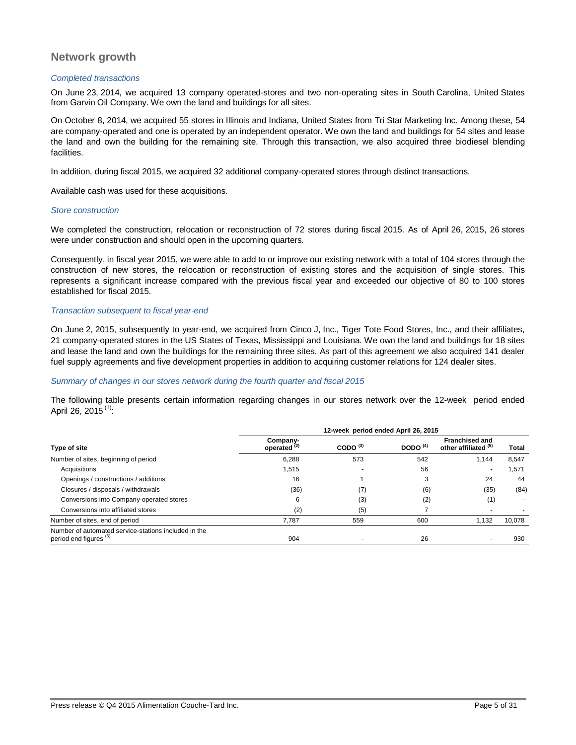# **Network growth**

#### *Completed transactions*

On June 23, 2014, we acquired 13 company operated-stores and two non-operating sites in South Carolina, United States from Garvin Oil Company. We own the land and buildings for all sites.

On October 8, 2014, we acquired 55 stores in Illinois and Indiana, United States from Tri Star Marketing Inc. Among these, 54 are company-operated and one is operated by an independent operator. We own the land and buildings for 54 sites and lease the land and own the building for the remaining site. Through this transaction, we also acquired three biodiesel blending facilities.

In addition, during fiscal 2015, we acquired 32 additional company-operated stores through distinct transactions.

Available cash was used for these acquisitions.

#### *Store construction*

We completed the construction, relocation or reconstruction of 72 stores during fiscal 2015. As of April 26, 2015, 26 stores were under construction and should open in the upcoming quarters.

Consequently, in fiscal year 2015, we were able to add to or improve our existing network with a total of 104 stores through the construction of new stores, the relocation or reconstruction of existing stores and the acquisition of single stores. This represents a significant increase compared with the previous fiscal year and exceeded our objective of 80 to 100 stores established for fiscal 2015.

#### *Transaction subsequent to fiscal year-end*

On June 2, 2015, subsequently to year-end, we acquired from Cinco J, Inc., Tiger Tote Food Stores, Inc., and their affiliates, 21 company-operated stores in the US States of Texas, Mississippi and Louisiana. We own the land and buildings for 18 sites and lease the land and own the buildings for the remaining three sites. As part of this agreement we also acquired 141 dealer fuel supply agreements and five development properties in addition to acquiring customer relations for 124 dealer sites.

### *Summary of changes in our stores network during the fourth quarter and fiscal 2015*

The following table presents certain information regarding changes in our stores network over the 12-week period ended April 26, 2015 $(1)$ :

|                                                                                           | 12-week period ended April 26, 2015 |            |            |                                               |              |  |
|-------------------------------------------------------------------------------------------|-------------------------------------|------------|------------|-----------------------------------------------|--------------|--|
| Type of site                                                                              | Company-<br>operated <sup>(2)</sup> | CODO $(3)$ | DODO $(4)$ | <b>Franchised and</b><br>other affiliated (b) | <b>Total</b> |  |
| Number of sites, beginning of period                                                      | 6,288                               | 573        | 542        | 1.144                                         | 8,547        |  |
| Acquisitions                                                                              | 1.515                               |            | 56         |                                               | 1,571        |  |
| Openings / constructions / additions                                                      | 16                                  |            | 3          | 24                                            | 44           |  |
| Closures / disposals / withdrawals                                                        | (36)                                | (7)        | (6)        | (35)                                          | (84)         |  |
| Conversions into Company-operated stores                                                  | 6                                   | (3)        | (2)        | (1)                                           |              |  |
| Conversions into affiliated stores                                                        | (2)                                 | (5)        |            |                                               |              |  |
| Number of sites, end of period                                                            | 7.787                               | 559        | 600        | 1,132                                         | 10,078       |  |
| Number of automated service-stations included in the<br>period end figures <sup>(6)</sup> | 904                                 |            | 26         |                                               | 930          |  |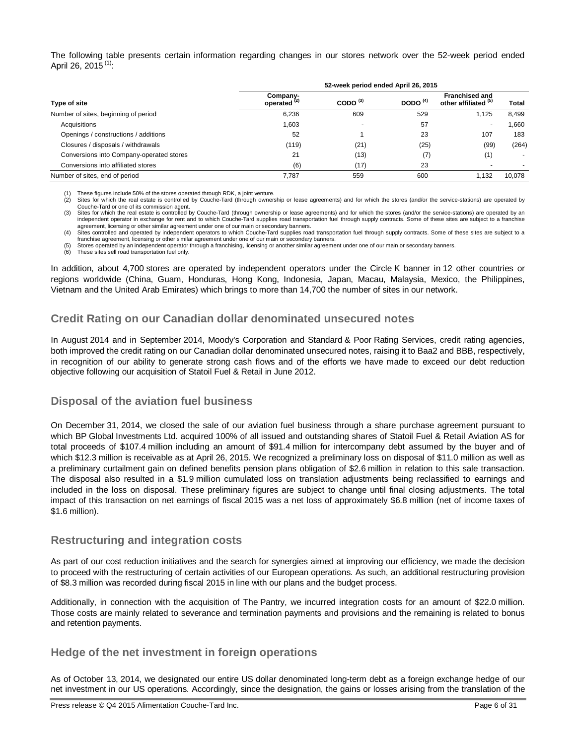The following table presents certain information regarding changes in our stores network over the 52-week period ended April 26, 2015<sup>(1)</sup>:

|                                          |                                     | 52-week period ended April 26, 2015 |                                                                        |       |              |  |  |
|------------------------------------------|-------------------------------------|-------------------------------------|------------------------------------------------------------------------|-------|--------------|--|--|
| Type of site                             | Company-<br>operated <sup>(2)</sup> | CODO $^{(3)}$                       | <b>Franchised and</b><br>DODO $(4)$<br>other affiliated <sup>(5)</sup> |       | <b>Total</b> |  |  |
| Number of sites, beginning of period     | 6,236                               | 609                                 | 529                                                                    | 1,125 | 8,499        |  |  |
| Acquisitions                             | 1,603                               |                                     | 57                                                                     |       | 660, ا       |  |  |
| Openings / constructions / additions     | 52                                  |                                     | 23                                                                     | 107   | 183          |  |  |
| Closures / disposals / withdrawals       | (119)                               | (21)                                | (25)                                                                   | (99)  | (264)        |  |  |
| Conversions into Company-operated stores | 21                                  | (13)                                | (7)                                                                    | (1)   | ۰.           |  |  |
| Conversions into affiliated stores       | (6)                                 | (17)                                | 23                                                                     |       |              |  |  |
| Number of sites, end of period           | 7.787                               | 559                                 | 600                                                                    | 1.132 | 10.078       |  |  |

(1) These figures include 50% of the stores operated through RDK, a joint venture. Sites for which the real estate is controlled by Couche-Tard (through ownership or lease agreements) and for which the stores (and/or the service-stations) are operated by Couche-Tard or one of its commission agent.

(3) Sites for which the real estate is controlled by Couche-Tard (through ownership or lease agreements) and for which the stores (and/or the service-stations) are operated by an independent operator in exchange for rent and to which Couche-Tard supplies road transportation fuel through supply contracts. Some of these sites are subject to a franchise agreement, licensing or other similar agreement under one of our main or secondary banners.

(4) Sites controlled and operated by independent operators to which Couche-Tard supplies road transportation fuel through supply contracts. Some of these sites are subject to a franchise agreement, licensing or other similar agreement under one of our main or secondary banners. (5) Stores operated by an independent operator through a franchising, licensing or another similar agreement under one of our main or secondary banners.<br>(6) These sites sell road transportation fuel only

These sites sell road transportation fuel only.

In addition, about 4,700 stores are operated by independent operators under the Circle K banner in 12 other countries or regions worldwide (China, Guam, Honduras, Hong Kong, Indonesia, Japan, Macau, Malaysia, Mexico, the Philippines, Vietnam and the United Arab Emirates) which brings to more than 14,700 the number of sites in our network.

# **Credit Rating on our Canadian dollar denominated unsecured notes**

In August 2014 and in September 2014, Moody's Corporation and Standard & Poor Rating Services, credit rating agencies, both improved the credit rating on our Canadian dollar denominated unsecured notes, raising it to Baa2 and BBB, respectively, in recognition of our ability to generate strong cash flows and of the efforts we have made to exceed our debt reduction objective following our acquisition of Statoil Fuel & Retail in June 2012.

# **Disposal of the aviation fuel business**

On December 31, 2014, we closed the sale of our aviation fuel business through a share purchase agreement pursuant to which BP Global Investments Ltd. acquired 100% of all issued and outstanding shares of Statoil Fuel & Retail Aviation AS for total proceeds of \$107.4 million including an amount of \$91.4 million for intercompany debt assumed by the buyer and of which \$12.3 million is receivable as at April 26, 2015. We recognized a preliminary loss on disposal of \$11.0 million as well as a preliminary curtailment gain on defined benefits pension plans obligation of \$2.6 million in relation to this sale transaction. The disposal also resulted in a \$1.9 million cumulated loss on translation adjustments being reclassified to earnings and included in the loss on disposal. These preliminary figures are subject to change until final closing adjustments. The total impact of this transaction on net earnings of fiscal 2015 was a net loss of approximately \$6.8 million (net of income taxes of \$1.6 million).

# **Restructuring and integration costs**

As part of our cost reduction initiatives and the search for synergies aimed at improving our efficiency, we made the decision to proceed with the restructuring of certain activities of our European operations. As such, an additional restructuring provision of \$8.3 million was recorded during fiscal 2015 in line with our plans and the budget process.

Additionally, in connection with the acquisition of The Pantry, we incurred integration costs for an amount of \$22.0 million. Those costs are mainly related to severance and termination payments and provisions and the remaining is related to bonus and retention payments.

# **Hedge of the net investment in foreign operations**

As of October 13, 2014, we designated our entire US dollar denominated long-term debt as a foreign exchange hedge of our net investment in our US operations. Accordingly, since the designation, the gains or losses arising from the translation of the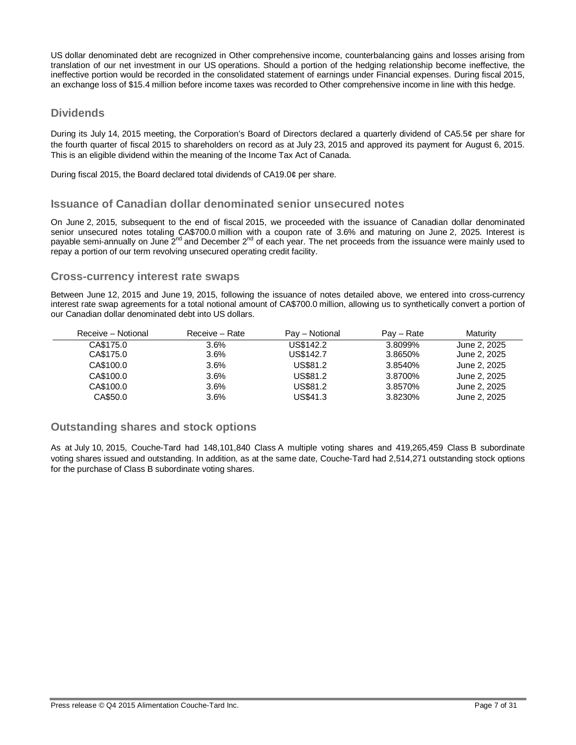US dollar denominated debt are recognized in Other comprehensive income, counterbalancing gains and losses arising from translation of our net investment in our US operations. Should a portion of the hedging relationship become ineffective, the ineffective portion would be recorded in the consolidated statement of earnings under Financial expenses. During fiscal 2015, an exchange loss of \$15.4 million before income taxes was recorded to Other comprehensive income in line with this hedge.

# **Dividends**

During its July 14, 2015 meeting, the Corporation's Board of Directors declared a quarterly dividend of CA5.5¢ per share for the fourth quarter of fiscal 2015 to shareholders on record as at July 23, 2015 and approved its payment for August 6, 2015. This is an eligible dividend within the meaning of the Income Tax Act of Canada.

During fiscal 2015, the Board declared total dividends of CA19.0¢ per share.

# **Issuance of Canadian dollar denominated senior unsecured notes**

On June 2, 2015, subsequent to the end of fiscal 2015, we proceeded with the issuance of Canadian dollar denominated senior unsecured notes totaling CA\$700.0 million with a coupon rate of 3.6% and maturing on June 2, 2025. Interest is payable semi-annually on June 2<sup>nd</sup> and December 2<sup>nd</sup> of each year. The net proceeds from the issuance were mainly used to repay a portion of our term revolving unsecured operating credit facility.

# **Cross-currency interest rate swaps**

Between June 12, 2015 and June 19, 2015, following the issuance of notes detailed above, we entered into cross-currency interest rate swap agreements for a total notional amount of CA\$700.0 million, allowing us to synthetically convert a portion of our Canadian dollar denominated debt into US dollars.

| Receive - Notional | Receive – Rate | Pay - Notional | $Pav - Rate$ | Maturity     |
|--------------------|----------------|----------------|--------------|--------------|
| CA\$175.0          | $3.6\%$        | US\$142.2      | 3.8099%      | June 2, 2025 |
| CA\$175.0          | 3.6%           | US\$142.7      | 3.8650%      | June 2, 2025 |
| CA\$100.0          | 3.6%           | US\$81.2       | 3.8540%      | June 2, 2025 |
| CA\$100.0          | 3.6%           | US\$81.2       | 3.8700%      | June 2, 2025 |
| CA\$100.0          | 3.6%           | US\$81.2       | 3.8570%      | June 2, 2025 |
| CA\$50.0           | 3.6%           | US\$41.3       | 3.8230%      | June 2, 2025 |

# **Outstanding shares and stock options**

As at July 10, 2015, Couche-Tard had 148,101,840 Class A multiple voting shares and 419,265,459 Class B subordinate voting shares issued and outstanding. In addition, as at the same date, Couche-Tard had 2,514,271 outstanding stock options for the purchase of Class B subordinate voting shares.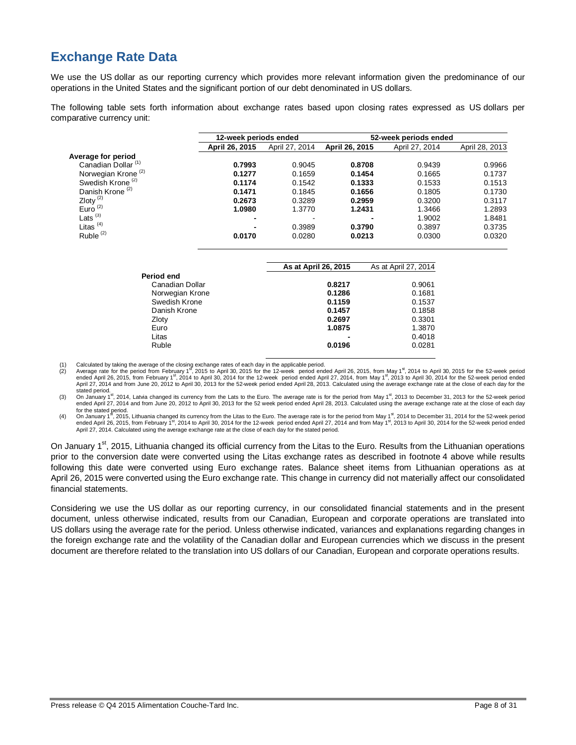# **Exchange Rate Data**

We use the US dollar as our reporting currency which provides more relevant information given the predominance of our operations in the United States and the significant portion of our debt denominated in US dollars.

The following table sets forth information about exchange rates based upon closing rates expressed as US dollars per comparative currency unit:

|                                | 12-week periods ended |                |                | 52-week periods ended |                |  |
|--------------------------------|-----------------------|----------------|----------------|-----------------------|----------------|--|
|                                | April 26, 2015        | April 27, 2014 | April 26, 2015 | April 27, 2014        | April 28, 2013 |  |
| Average for period             |                       |                |                |                       |                |  |
| Canadian Dollar <sup>(1)</sup> | 0.7993                | 0.9045         | 0.8708         | 0.9439                | 0.9966         |  |
| Norwegian Krone <sup>(2)</sup> | 0.1277                | 0.1659         | 0.1454         | 0.1665                | 0.1737         |  |
| Swedish Krone <sup>(2)</sup>   | 0.1174                | 0.1542         | 0.1333         | 0.1533                | 0.1513         |  |
| Danish Krone <sup>(2)</sup>    | 0.1471                | 0.1845         | 0.1656         | 0.1805                | 0.1730         |  |
| Zloty $\frac{2}{2}$            | 0.2673                | 0.3289         | 0.2959         | 0.3200                | 0.3117         |  |
| Euro <sup>(2)</sup>            | 1.0980                | 1.3770         | 1.2431         | 1.3466                | 1.2893         |  |
| Lats $(3)$                     | -                     |                |                | 1.9002                | 1.8481         |  |
| Litas $(4)$                    | -                     | 0.3989         | 0.3790         | 0.3897                | 0.3735         |  |
| Ruble $(2)$                    | 0.0170                | 0.0280         | 0.0213         | 0.0300                | 0.0320         |  |
|                                |                       |                |                |                       |                |  |

|                 | As at April 26, 2015 | As at April 27, 2014 |
|-----------------|----------------------|----------------------|
| Period end      |                      |                      |
| Canadian Dollar | 0.8217               | 0.9061               |
| Norwegian Krone | 0.1286               | 0.1681               |
| Swedish Krone   | 0.1159               | 0.1537               |
| Danish Krone    | 0.1457               | 0.1858               |
| Zloty           | 0.2697               | 0.3301               |
| Euro            | 1.0875               | 1.3870               |
| Litas           | ۰                    | 0.4018               |
| Ruble           | 0.0196               | 0.0281               |

(1) Calculated by taking the average of the closing exchange rates of each day in the applicable period.<br>(2) Average rate for the period from February 1<sup>s</sup>, 2015 to April 30, 2015 for the 12-week period ended April 26, 201 April 27, 2014 and from June 20, 2012 to April 30, 2013 for the 52-week period ended April 28, 2013. Calculated using the average exchange rate at the close of each day for the stated period.

(3) On January 1<sup>st</sup>, 2014, Latvia changed its currency from the Lats to the Euro. The average rate is for the period from May 1<sup>st</sup>, 2013 to December 31, 2013 for the 52-week period ended April 27, 2014 and from June 20, 2012 to April 30, 2013 for the 52 week period ended April 28, 2013. Calculated using the average exchange rate at the close of each day

for the stated period.<br>(4) On January 1<sup>8</sup>, 2015, Lithuania changed its currency from the Litas to the Euro. The average rate is for the period from May 1<sup>81</sup>, 2014 to December 31, 2014 for the 52-week period<br>and the state ended April 26, 2015, from February 1<sup>st</sup>, 2014 to April 30, 2014 for the 12-week period ended April 27, 2014 and from May 1<sup>st</sup>, 2013 to April 30, 2014 for the 52-week period ended<br>April 27, 2014. Calculated using the a

On January 1<sup>st</sup>, 2015, Lithuania changed its official currency from the Litas to the Euro. Results from the Lithuanian operations prior to the conversion date were converted using the Litas exchange rates as described in footnote 4 above while results following this date were converted using Euro exchange rates. Balance sheet items from Lithuanian operations as at April 26, 2015 were converted using the Euro exchange rate. This change in currency did not materially affect our consolidated financial statements.

Considering we use the US dollar as our reporting currency, in our consolidated financial statements and in the present document, unless otherwise indicated, results from our Canadian, European and corporate operations are translated into US dollars using the average rate for the period. Unless otherwise indicated, variances and explanations regarding changes in the foreign exchange rate and the volatility of the Canadian dollar and European currencies which we discuss in the present document are therefore related to the translation into US dollars of our Canadian, European and corporate operations results.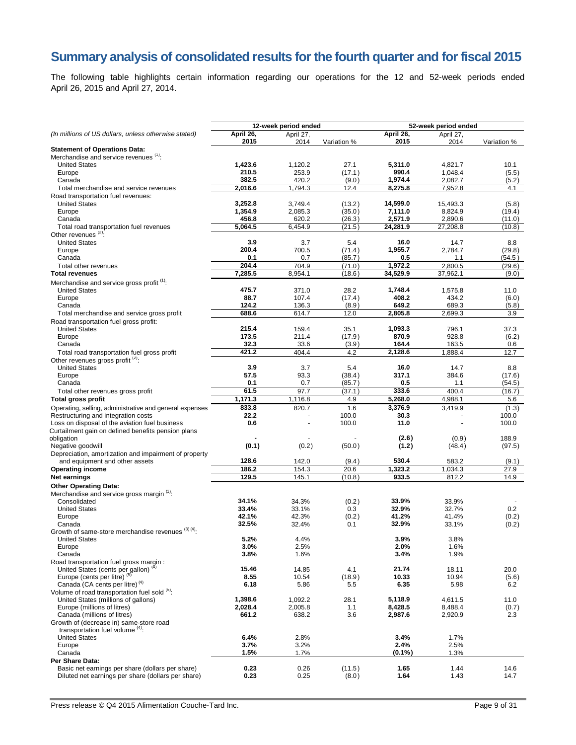# **Summary analysis of consolidated results for the fourth quarter and for fiscal 2015**

The following table highlights certain information regarding our operations for the 12 and 52-week periods ended April 26, 2015 and April 27, 2014.

|                                                                                            | 12-week period ended |                |                 |                  | 52-week period ended |              |  |
|--------------------------------------------------------------------------------------------|----------------------|----------------|-----------------|------------------|----------------------|--------------|--|
| (In millions of US dollars, unless otherwise stated)                                       | April 26,            | April 27,      |                 | April 26,        | April 27,            |              |  |
|                                                                                            | 2015                 | 2014           | Variation %     | 2015             | 2014                 | Variation %  |  |
| <b>Statement of Operations Data:</b><br>Merchandise and service revenues (1):              |                      |                |                 |                  |                      |              |  |
| <b>United States</b>                                                                       | 1,423.6              | 1,120.2        | 27.1            | 5,311.0          | 4,821.7              | 10.1         |  |
| Europe                                                                                     | 210.5                | 253.9          | (17.1)          | 990.4            | 1,048.4              | (5.5)        |  |
| Canada                                                                                     | 382.5                | 420.2          | (9.0)           | 1,974.4          | 2,082.7              | (5.2)        |  |
| Total merchandise and service revenues                                                     | 2,016.6              | 1,794.3        | 12.4            | 8,275.8          | 7,952.8              | 4.1          |  |
| Road transportation fuel revenues:                                                         |                      |                |                 |                  |                      |              |  |
| <b>United States</b>                                                                       | 3,252.8              | 3,749.4        | (13.2)          | 14,599.0         | 15,493.3             | (5.8)        |  |
| Europe                                                                                     | 1,354.9              | 2,085.3        | (35.0)          | 7,111.0          | 8,824.9              | (19.4)       |  |
| Canada                                                                                     | 456.8                | 620.2          | (26.3)          | 2,571.9          | 2,890.6              | (11.0)       |  |
| Total road transportation fuel revenues<br>Other revenues <sup>(2)</sup> :                 | 5,064.5              | 6,454.9        | (21.5)          | 24,281.9         | 27,208.8             | (10.8)       |  |
| <b>United States</b>                                                                       | 3.9                  | 3.7            | 5.4             | 16.0             | 14.7                 | 8.8          |  |
| Europe                                                                                     | 200.4                | 700.5          | (71.4)          | 1,955.7          | 2,784.7              | (29.8)       |  |
| Canada                                                                                     | 0.1                  | 0.7            | (85.7)          | 0.5              | 1.1                  | (54.5 )      |  |
| Total other revenues                                                                       | 204.4                | 704.9          | (71.0)          | 1,972.2          | 2,800.5              | (29.6)       |  |
| <b>Total revenues</b>                                                                      | $7,285.\overline{5}$ | 8,954.1        | (18.6)          | 34,529.9         | 37,962.1             | (9.0)        |  |
| Merchandise and service gross profit <sup>(1)</sup> :                                      |                      |                |                 |                  |                      |              |  |
| <b>United States</b>                                                                       | 475.7                | 371.0          | 28.2            | 1,748.4          | 1,575.8              | 11.0         |  |
| Europe                                                                                     | 88.7                 | 107.4          | (17.4)          | 408.2            | 434.2                | (6.0)        |  |
| Canada                                                                                     | 124.2                | 136.3          | (8.9)           | 649.2            | 689.3                | (5.8)        |  |
| Total merchandise and service gross profit                                                 | 688.6                | 614.7          | 12.0            | 2,805.8          | 2,699.3              | 3.9          |  |
| Road transportation fuel gross profit:                                                     |                      |                |                 |                  |                      |              |  |
| <b>United States</b>                                                                       | 215.4<br>173.5       | 159.4<br>211.4 | 35.1            | 1,093.3<br>870.9 | 796.1<br>928.8       | 37.3         |  |
| Europe<br>Canada                                                                           | 32.3                 | 33.6           | (17.9)<br>(3.9) | 164.4            | 163.5                | (6.2)<br>0.6 |  |
| Total road transportation fuel gross profit                                                | 421.2                | 404.4          | 4.2             | 2,128.6          | 1,888.4              | 12.7         |  |
| Other revenues gross profit (2):                                                           |                      |                |                 |                  |                      |              |  |
| <b>United States</b>                                                                       | 3.9                  | 3.7            | 5.4             | 16.0             | 14.7                 | 8.8          |  |
| Europe                                                                                     | 57.5                 | 93.3           | (38.4)          | 317.1            | 384.6                | (17.6)       |  |
| Canada                                                                                     | 0.1                  | 0.7            | (85.7)          | 0.5              | 1.1                  | (54.5)       |  |
| Total other revenues gross profit                                                          | 61.5                 | 97.7           | (37.1)          | 333.6            | 400.4                | (16.7)       |  |
| Total gross profit                                                                         | 1,171.3              | 1,116.8        | 4.9             | 5,268.0          | 4,988.1              | 5.6          |  |
| Operating, selling, administrative and general expenses                                    | 833.8                | 820.7          | 1.6             | 3,376.9          | 3,419.9              | (1.3)        |  |
| Restructuring and integration costs                                                        | 22.2                 |                | 100.0           | 30.3             |                      | 100.0        |  |
| Loss on disposal of the aviation fuel business                                             | 0.6                  |                | 100.0           | 11.0             |                      | 100.0        |  |
| Curtailment gain on defined benefits pension plans<br>obligation                           |                      |                |                 | (2.6)            | (0.9)                | 188.9        |  |
| Negative goodwill                                                                          | (0.1)                | (0.2)          | (50.0)          | (1.2)            | (48.4)               | (97.5)       |  |
| Depreciation, amortization and impairment of property                                      |                      |                |                 |                  |                      |              |  |
| and equipment and other assets                                                             | 128.6                | 142.0          | (9.4)           | 530.4            | 583.2                | (9.1)        |  |
| <b>Operating income</b>                                                                    | 186.2                | 154.3          | 20.6            | 1,323.2          | 1,034.3              | 27.9         |  |
| Net earnings                                                                               | 129.5                | 145.1          | (10.8)          | 933.5            | 812.2                | 14.9         |  |
| <b>Other Operating Data:</b>                                                               |                      |                |                 |                  |                      |              |  |
| Merchandise and service gross margin <sup>(1)</sup> :                                      |                      |                |                 |                  |                      |              |  |
| Consolidated                                                                               | 34.1%                | 34.3%          | (0.2)           | 33.9%            | 33.9%                |              |  |
| <b>United States</b>                                                                       | 33.4%                | 33.1%          | 0.3             | 32.9%            | 32.7%                | 0.2          |  |
| Europe                                                                                     | 42.1%                | 42.3%          | (0.2)           | 41.2%            | 41.4%                | (0.2)        |  |
| Canada<br>Growth of same-store merchandise revenues (3) (4):                               | 32.5%                | 32.4%          | 0.1             | 32.9%            | 33.1%                | (0.2)        |  |
| <b>United States</b>                                                                       | 5.2%                 | 4.4%           |                 | 3.9%             | 3.8%                 |              |  |
| Europe                                                                                     | 3.0%                 | 2.5%           |                 | 2.0%             | 1.6%                 |              |  |
| Canada                                                                                     | 3.8%                 | 1.6%           |                 | 3.4%             | 1.9%                 |              |  |
| Road transportation fuel gross margin :                                                    |                      |                |                 |                  |                      |              |  |
| United States (cents per gallon) <sup>(4)</sup>                                            | 15.46                | 14.85          | 4.1             | 21.74            | 18.11                | 20.0         |  |
| Europe (cents per litre) <sup>(5)</sup>                                                    | 8.55                 | 10.54          | (18.9)          | 10.33            | 10.94                | (5.6)        |  |
| Canada (CA cents per litre) <sup>(4)</sup><br>Volume of road transportation fuel sold (5). | 6.18                 | 5.86           | 5.5             | 6.35             | 5.98                 | 6.2          |  |
| United States (millions of gallons)                                                        | 1,398.6              | 1,092.2        | 28.1            | 5,118.9          | 4,611.5              | 11.0         |  |
| Europe (millions of litres)                                                                | 2,028.4              | 2,005.8        | 1.1             | 8,428.5          | 8,488.4              | (0.7)        |  |
| Canada (millions of litres)                                                                | 661.2                | 638.2          | 3.6             | 2,987.6          | 2,920.9              | 2.3          |  |
| Growth of (decrease in) same-store road                                                    |                      |                |                 |                  |                      |              |  |
| transportation fuel volume <sup>(4)</sup> :                                                |                      |                |                 |                  |                      |              |  |
| <b>United States</b>                                                                       | 6.4%                 | 2.8%           |                 | 3.4%             | 1.7%                 |              |  |
| Europe                                                                                     | 3.7%                 | 3.2%           |                 | 2.4%             | 2.5%                 |              |  |
| Canada                                                                                     | 1.5%                 | 1.7%           |                 | $(0.1\%)$        | 1.3%                 |              |  |
| Per Share Data:<br>Basic net earnings per share (dollars per share)                        | 0.23                 | 0.26           | (11.5)          | 1.65             | 1.44                 | 14.6         |  |
| Diluted net earnings per share (dollars per share)                                         | 0.23                 | 0.25           | (8.0)           | 1.64             | 1.43                 | 14.7         |  |

Press release © Q4 2015 Alimentation Couche-Tard Inc. Page 9 of 31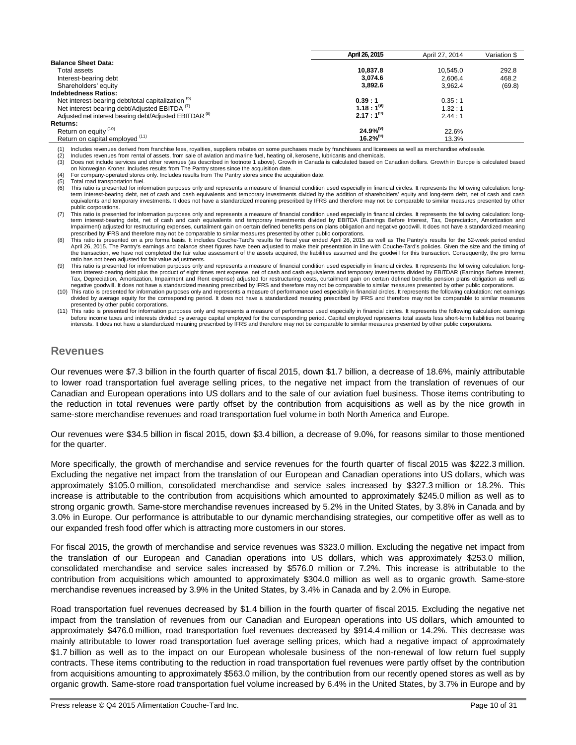|                                                                    | April 26, 2015 | April 27, 2014 | Variation \$ |
|--------------------------------------------------------------------|----------------|----------------|--------------|
| <b>Balance Sheet Data:</b>                                         |                |                |              |
| Total assets                                                       | 10.837.8       | 10.545.0       | 292.8        |
| Interest-bearing debt                                              | 3.074.6        | 2.606.4        | 468.2        |
| Shareholders' equity                                               | 3,892.6        | 3.962.4        | (69.8)       |
| <b>Indebtedness Ratios:</b>                                        |                |                |              |
| Net interest-bearing debt/total capitalization <sup>(6)</sup>      | 0.39:1         | 0.35:1         |              |
| Net interest-bearing debt/Adjusted EBITDA <sup>(7)</sup>           | $1.18:1^{(9)}$ | 1.32:1         |              |
| Adjusted net interest bearing debt/Adjusted EBITDAR <sup>(8)</sup> | $2.17:1^{(9)}$ | 2.44:1         |              |
| <b>Returns:</b>                                                    |                |                |              |
| Return on equity (10)                                              | $24.9\%^{(9)}$ | 22.6%          |              |
| Return on capital employed (11)                                    | $16.2\%^{(9)}$ | 13.3%          |              |

(1) Includes revenues derived from franchise fees, royalties, suppliers rebates on some purchases made by franchisees and licensees as well as merchandise wholesale.<br>(2) Includes revenues from rental of assets, from sale o

Includes revenues from rental of assets, from sale of aviation and marine fuel, heating oil, kerosene, lubricants and chemicals

(3) Does not include services and other revenues (as described in footnote 1 above). Growth in Canada is calculated based on Canadian dollars. Growth in Europe is calculated based on Norwegian Kroner. Includes results from The Pantry stores since the acquisition date.

For company-operated stores only. Includes results from The Pantry stores since the acquisition date.

(5) Total road transportation fuel.<br>(6) This ratio is presented for info

This ratio is presented for information purposes only and represents a measure of financial condition used especially in financial circles. It represents the following calculation: longterm interest-bearing debt, net of cash and cash equivalents and temporary investments divided by the addition of shareholders' equity and long-term debt, net of cash and cash equivalents and temporary investments. It does not have a standardized meaning prescribed by IFRS and therefore may not be comparable to similar measures presented by other

public corporations. (7) This ratio is presented for information purposes only and represents a measure of financial condition used especially in financial circles. It represents the following calculation: longterm interest-bearing debt, net of cash and cash equivalents and temporary investments divided by EBITDA (Earnings Before Interest, Tax, Depreciation, Amortization and Impairment) adjusted for restructuring expenses, curtailment gain on certain defined benefits pension plans obligation and negative goodwill. It does not have a standardized meaning prescribed by IFRS and therefore may not be comparable to similar measures presented by other public corporations.

8) This ratio is presented on a pro forma basis. It includes Couche-Tard's results for fiscal year ended April 26, 2015 as well as The Pantry's results for the 52-week period ended<br>April 26, 2015. The Pantry's earnings and the transaction, we have not completed the fair value assessment of the assets acquired, the liabilities assumed and the goodwill for this transaction. Consequently, the pro forma ratio has not been adjusted for fair value adjustments.

(9) This ratio is presented for information purposes only and represents a measure of financial condition used especially in financial circles. It represents the following calculation: longterm interest-bearing debt plus the product of eight times rent expense, net of cash and cash equivalents and temporary investments divided by EBITDAR (Earnings Before Interest, Tax, Depreciation, Amortization, Impairment and Rent expense) adjusted for restructuring costs, curtailment gain on certain defined benefits pension plans obligation as well as negative goodwill. It does not have a standardized meaning prescribed by IFRS and therefore may not be comparable to similar measures presented by other public corporations.

(10) This ratio is presented for information purposes only and represents a measure of performance used especially in financial circles. It represents the following calculation: net earnings divided by average equity for the corresponding period. It does not have a standardized meaning prescribed by IFRS and therefore may not be comparable to similar measures

presented by other public corporations.<br>(11) This ratio is presented for information purposes only and represents a measure of performance used especially in financial circles. It represents the following calculation: earn before income taxes and interests divided by average capital employed for the corresponding period. Capital employed represents total assets less short-term liabilities not bearing<br>interests. It does not have a standardize

# **Revenues**

Our revenues were \$7.3 billion in the fourth quarter of fiscal 2015, down \$1.7 billion, a decrease of 18.6%, mainly attributable to lower road transportation fuel average selling prices, to the negative net impact from the translation of revenues of our Canadian and European operations into US dollars and to the sale of our aviation fuel business. Those items contributing to the reduction in total revenues were partly offset by the contribution from acquisitions as well as by the nice growth in same-store merchandise revenues and road transportation fuel volume in both North America and Europe.

Our revenues were \$34.5 billion in fiscal 2015, down \$3.4 billion, a decrease of 9.0%, for reasons similar to those mentioned for the quarter.

More specifically, the growth of merchandise and service revenues for the fourth quarter of fiscal 2015 was \$222.3 million. Excluding the negative net impact from the translation of our European and Canadian operations into US dollars, which was approximately \$105.0 million, consolidated merchandise and service sales increased by \$327.3 million or 18.2%. This increase is attributable to the contribution from acquisitions which amounted to approximately \$245.0 million as well as to strong organic growth. Same-store merchandise revenues increased by 5.2% in the United States, by 3.8% in Canada and by 3.0% in Europe. Our performance is attributable to our dynamic merchandising strategies, our competitive offer as well as to our expanded fresh food offer which is attracting more customers in our stores.

For fiscal 2015, the growth of merchandise and service revenues was \$323.0 million. Excluding the negative net impact from the translation of our European and Canadian operations into US dollars, which was approximately \$253.0 million, consolidated merchandise and service sales increased by \$576.0 million or 7.2%. This increase is attributable to the contribution from acquisitions which amounted to approximately \$304.0 million as well as to organic growth. Same-store merchandise revenues increased by 3.9% in the United States, by 3.4% in Canada and by 2.0% in Europe.

Road transportation fuel revenues decreased by \$1.4 billion in the fourth quarter of fiscal 2015. Excluding the negative net impact from the translation of revenues from our Canadian and European operations into US dollars, which amounted to approximately \$476.0 million, road transportation fuel revenues decreased by \$914.4 million or 14.2%. This decrease was mainly attributable to lower road transportation fuel average selling prices, which had a negative impact of approximately \$1.7 billion as well as to the impact on our European wholesale business of the non-renewal of low return fuel supply contracts. These items contributing to the reduction in road transportation fuel revenues were partly offset by the contribution from acquisitions amounting to approximately \$563.0 million, by the contribution from our recently opened stores as well as by organic growth. Same-store road transportation fuel volume increased by 6.4% in the United States, by 3.7% in Europe and by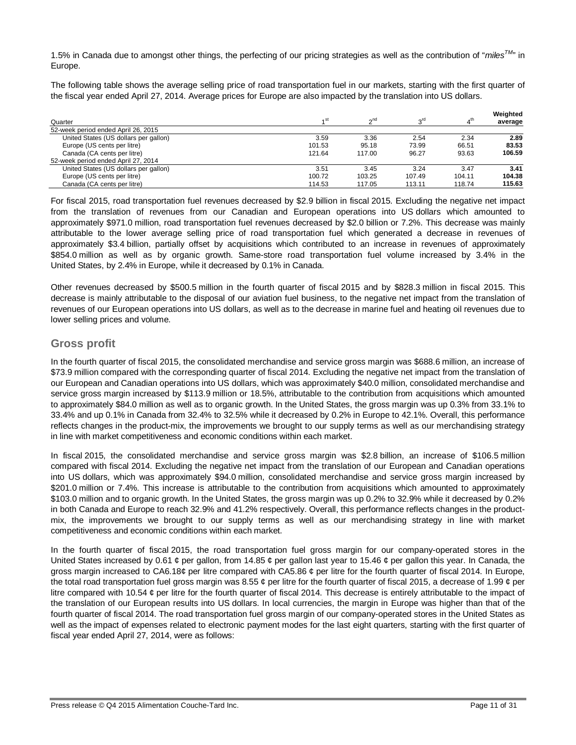1.5% in Canada due to amongst other things, the perfecting of our pricing strategies as well as the contribution of "*milesTM*" in Europe.

The following table shows the average selling price of road transportation fuel in our markets, starting with the first quarter of the fiscal year ended April 27, 2014. Average prices for Europe are also impacted by the translation into US dollars.

| Quarter                               | 4 <sup>St</sup> | n <sup>nd</sup> | $3^{\text{rd}}$ | 4 <sup>th</sup> | Weighted<br>average |
|---------------------------------------|-----------------|-----------------|-----------------|-----------------|---------------------|
| 52-week period ended April 26, 2015   |                 |                 |                 |                 |                     |
| United States (US dollars per gallon) | 3.59            | 3.36            | 2.54            | 2.34            | 2.89                |
| Europe (US cents per litre)           | 101.53          | 95.18           | 73.99           | 66.51           | 83.53               |
| Canada (CA cents per litre)           | 121.64          | 117.00          | 96.27           | 93.63           | 106.59              |
| 52-week period ended April 27, 2014   |                 |                 |                 |                 |                     |
| United States (US dollars per gallon) | 3.51            | 3.45            | 3.24            | 3.47            | 3.41                |
| Europe (US cents per litre)           | 100.72          | 103.25          | 107.49          | 104.11          | 104.38              |
| Canada (CA cents per litre)           | 114.53          | 117.05          | 113.11          | 118.74          | 115.63              |

For fiscal 2015, road transportation fuel revenues decreased by \$2.9 billion in fiscal 2015. Excluding the negative net impact from the translation of revenues from our Canadian and European operations into US dollars which amounted to approximately \$971.0 million, road transportation fuel revenues decreased by \$2.0 billion or 7.2%. This decrease was mainly attributable to the lower average selling price of road transportation fuel which generated a decrease in revenues of approximately \$3.4 billion, partially offset by acquisitions which contributed to an increase in revenues of approximately \$854.0 million as well as by organic growth. Same-store road transportation fuel volume increased by 3.4% in the United States, by 2.4% in Europe, while it decreased by 0.1% in Canada.

Other revenues decreased by \$500.5 million in the fourth quarter of fiscal 2015 and by \$828.3 million in fiscal 2015. This decrease is mainly attributable to the disposal of our aviation fuel business, to the negative net impact from the translation of revenues of our European operations into US dollars, as well as to the decrease in marine fuel and heating oil revenues due to lower selling prices and volume.

# **Gross profit**

In the fourth quarter of fiscal 2015, the consolidated merchandise and service gross margin was \$688.6 million, an increase of \$73.9 million compared with the corresponding quarter of fiscal 2014. Excluding the negative net impact from the translation of our European and Canadian operations into US dollars, which was approximately \$40.0 million, consolidated merchandise and service gross margin increased by \$113.9 million or 18.5%, attributable to the contribution from acquisitions which amounted to approximately \$84.0 million as well as to organic growth. In the United States, the gross margin was up 0.3% from 33.1% to 33.4% and up 0.1% in Canada from 32.4% to 32.5% while it decreased by 0.2% in Europe to 42.1%. Overall, this performance reflects changes in the product-mix, the improvements we brought to our supply terms as well as our merchandising strategy in line with market competitiveness and economic conditions within each market.

In fiscal 2015, the consolidated merchandise and service gross margin was \$2.8 billion, an increase of \$106.5 million compared with fiscal 2014. Excluding the negative net impact from the translation of our European and Canadian operations into US dollars, which was approximately \$94.0 million, consolidated merchandise and service gross margin increased by \$201.0 million or 7.4%. This increase is attributable to the contribution from acquisitions which amounted to approximately \$103.0 million and to organic growth. In the United States, the gross margin was up 0.2% to 32.9% while it decreased by 0.2% in both Canada and Europe to reach 32.9% and 41.2% respectively. Overall, this performance reflects changes in the productmix, the improvements we brought to our supply terms as well as our merchandising strategy in line with market competitiveness and economic conditions within each market.

In the fourth quarter of fiscal 2015, the road transportation fuel gross margin for our company-operated stores in the United States increased by 0.61  $\phi$  per gallon, from 14.85  $\phi$  per gallon last year to 15.46  $\phi$  per gallon this year. In Canada, the gross margin increased to CA6.18¢ per litre compared with CA5.86 ¢ per litre for the fourth quarter of fiscal 2014. In Europe, the total road transportation fuel gross margin was 8.55  $\phi$  per litre for the fourth quarter of fiscal 2015, a decrease of 1.99  $\phi$  per litre compared with 10.54  $\phi$  per litre for the fourth quarter of fiscal 2014. This decrease is entirely attributable to the impact of the translation of our European results into US dollars. In local currencies, the margin in Europe was higher than that of the fourth quarter of fiscal 2014. The road transportation fuel gross margin of our company-operated stores in the United States as well as the impact of expenses related to electronic payment modes for the last eight quarters, starting with the first quarter of fiscal year ended April 27, 2014, were as follows: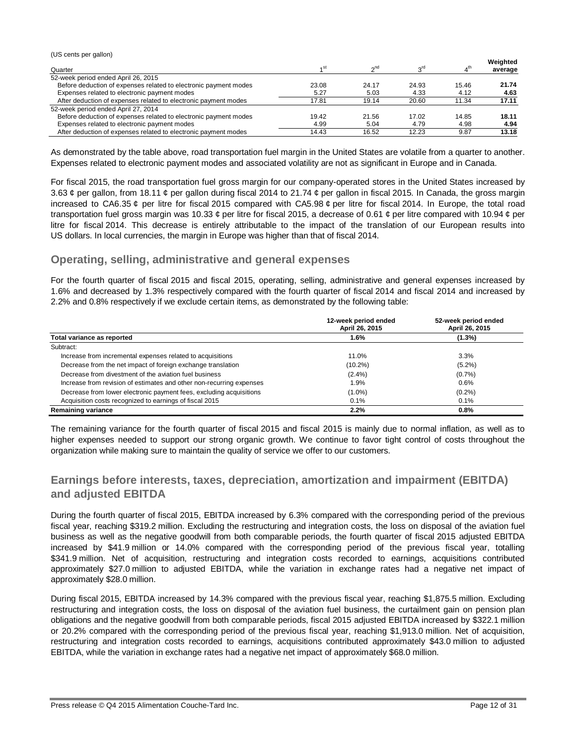(US cents per gallon) Quarter **1** and 1 and 1 and 1 and 1 and 1 and 1 and 1 and 1 and 1 and 1 and 1 and 1 and 1 and 1 and 1 and 1 and 1 and 1 and 1 and 1 and 1 and 1 and 1 and 1 and 1 and 1 and 1 and 1 and 1 and 1 and 1 and 1 and 1 and 1 and 1 st  $2^{nd}$  3 rd  $4^{\text{th}}$ **Weighted average** 52-week period ended April 26, 2015 Before deduction of expenses related to electronic payment modes 23.08 24.17 24.93 15.46 **21.74** Expenses related to electronic payment modes 5.27 5.03 4.33 4.12 **4.63** After deduction of expenses related to electronic payment modes 17.81 19.14 20.60 11.34 17.11 52-week period ended April 27, 2014 Before deduction of expenses related to electronic payment modes  $\begin{array}{cccc} 19.42 & 21.56 & 17.02 & 14.85 \\ 21.56 & 21.56 & 17.02 & 14.85 \end{array}$  18.11 Expenses related to electronic payment modes<br>
After deduction of expenses related to electronic payment modes<br>
4.98 19.87 13.18 After deduction of expenses related to electronic payment modes 14.43 16.52 12.23 9.87

As demonstrated by the table above, road transportation fuel margin in the United States are volatile from a quarter to another. Expenses related to electronic payment modes and associated volatility are not as significant in Europe and in Canada.

For fiscal 2015, the road transportation fuel gross margin for our company-operated stores in the United States increased by 3.63  $\phi$  per gallon, from 18.11  $\phi$  per gallon during fiscal 2014 to 21.74  $\phi$  per gallon in fiscal 2015. In Canada, the gross margin increased to CA6.35 ¢ per litre for fiscal 2015 compared with CA5.98 ¢ per litre for fiscal 2014. In Europe, the total road transportation fuel gross margin was 10.33  $\phi$  per litre for fiscal 2015, a decrease of 0.61  $\phi$  per litre compared with 10.94  $\phi$  per litre for fiscal 2014. This decrease is entirely attributable to the impact of the translation of our European results into US dollars. In local currencies, the margin in Europe was higher than that of fiscal 2014.

# **Operating, selling, administrative and general expenses**

For the fourth quarter of fiscal 2015 and fiscal 2015, operating, selling, administrative and general expenses increased by 1.6% and decreased by 1.3% respectively compared with the fourth quarter of fiscal 2014 and fiscal 2014 and increased by 2.2% and 0.8% respectively if we exclude certain items, as demonstrated by the following table:

|                                                                      | 12-week period ended<br>April 26, 2015 | 52-week period ended<br>April 26, 2015 |
|----------------------------------------------------------------------|----------------------------------------|----------------------------------------|
| Total variance as reported                                           | 1.6%                                   | (1.3%)                                 |
| Subtract:                                                            |                                        |                                        |
| Increase from incremental expenses related to acquisitions           | 11.0%                                  | 3.3%                                   |
| Decrease from the net impact of foreign exchange translation         | $(10.2\%)$                             | $(5.2\%)$                              |
| Decrease from divestment of the aviation fuel business               | $(2.4\%)$                              | (0.7%                                  |
| Increase from revision of estimates and other non-recurring expenses | 1.9%                                   | 0.6%                                   |
| Decrease from lower electronic payment fees, excluding acquisitions  | $(1.0\%)$                              | $(0.2\%)$                              |
| Acquisition costs recognized to earnings of fiscal 2015              | 0.1%                                   | 0.1%                                   |
| <b>Remaining variance</b>                                            | 2.2%                                   | 0.8%                                   |

The remaining variance for the fourth quarter of fiscal 2015 and fiscal 2015 is mainly due to normal inflation, as well as to higher expenses needed to support our strong organic growth. We continue to favor tight control of costs throughout the organization while making sure to maintain the quality of service we offer to our customers.

# **Earnings before interests, taxes, depreciation, amortization and impairment (EBITDA) and adjusted EBITDA**

During the fourth quarter of fiscal 2015, EBITDA increased by 6.3% compared with the corresponding period of the previous fiscal year, reaching \$319.2 million. Excluding the restructuring and integration costs, the loss on disposal of the aviation fuel business as well as the negative goodwill from both comparable periods, the fourth quarter of fiscal 2015 adjusted EBITDA increased by \$41.9 million or 14.0% compared with the corresponding period of the previous fiscal year, totalling \$341.9 million. Net of acquisition, restructuring and integration costs recorded to earnings, acquisitions contributed approximately \$27.0 million to adjusted EBITDA, while the variation in exchange rates had a negative net impact of approximately \$28.0 million.

During fiscal 2015, EBITDA increased by 14.3% compared with the previous fiscal year, reaching \$1,875.5 million. Excluding restructuring and integration costs, the loss on disposal of the aviation fuel business, the curtailment gain on pension plan obligations and the negative goodwill from both comparable periods, fiscal 2015 adjusted EBITDA increased by \$322.1 million or 20.2% compared with the corresponding period of the previous fiscal year, reaching \$1,913.0 million. Net of acquisition, restructuring and integration costs recorded to earnings, acquisitions contributed approximately \$43.0 million to adjusted EBITDA, while the variation in exchange rates had a negative net impact of approximately \$68.0 million.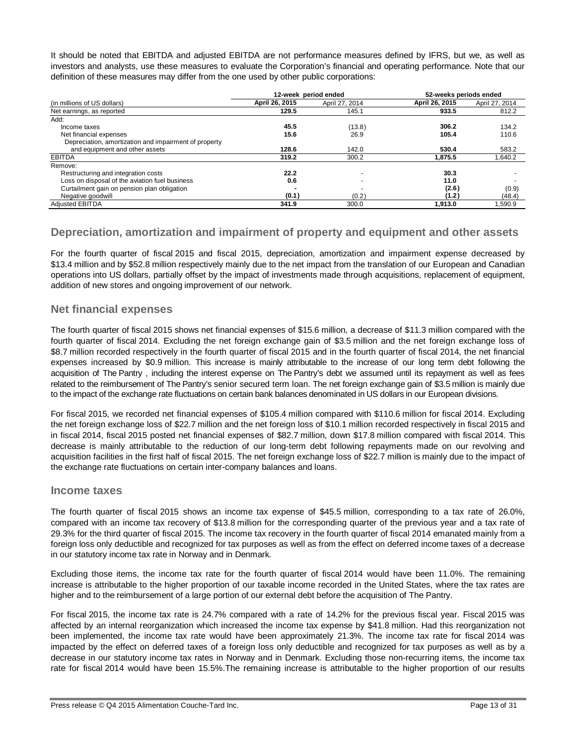It should be noted that EBITDA and adjusted EBITDA are not performance measures defined by IFRS, but we, as well as investors and analysts, use these measures to evaluate the Corporation's financial and operating performance. Note that our definition of these measures may differ from the one used by other public corporations:

|                                                       | 12-week period ended |                | 52-weeks periods ended |                |
|-------------------------------------------------------|----------------------|----------------|------------------------|----------------|
| (in millions of US dollars)                           | April 26, 2015       | April 27, 2014 | April 26, 2015         | April 27, 2014 |
| Net earnings, as reported                             | 129.5                | 145.1          | 933.5                  | 812.2          |
| Add:                                                  |                      |                |                        |                |
| Income taxes                                          | 45.5                 | (13.8)         | 306.2                  | 134.2          |
| Net financial expenses                                | 15.6                 | 26.9           | 105.4                  | 110.6          |
| Depreciation, amortization and impairment of property |                      |                |                        |                |
| and equipment and other assets                        | 128.6                | 142.0          | 530.4                  | 583.2          |
| <b>EBITDA</b>                                         | 319.2                | 300.2          | 1.875.5                | 1.640.2        |
| Remove:                                               |                      |                |                        |                |
| Restructuring and integration costs                   | 22.2                 |                | 30.3                   |                |
| Loss on disposal of the aviation fuel business        | 0.6                  |                | 11.0                   |                |
| Curtailment gain on pension plan obligation           |                      |                | (2.6)                  | (0.9)          |
| Negative goodwill                                     | (0.1)                | (0.2)          | (1.2)                  | (48.4)         |
| <b>Adiusted EBITDA</b>                                | 341.9                | 300.0          | 1.913.0                | 1.590.9        |

# **Depreciation, amortization and impairment of property and equipment and other assets**

For the fourth quarter of fiscal 2015 and fiscal 2015, depreciation, amortization and impairment expense decreased by \$13.4 million and by \$52.8 million respectively mainly due to the net impact from the translation of our European and Canadian operations into US dollars, partially offset by the impact of investments made through acquisitions, replacement of equipment, addition of new stores and ongoing improvement of our network.

# **Net financial expenses**

The fourth quarter of fiscal 2015 shows net financial expenses of \$15.6 million, a decrease of \$11.3 million compared with the fourth quarter of fiscal 2014. Excluding the net foreign exchange gain of \$3.5 million and the net foreign exchange loss of \$8.7 million recorded respectively in the fourth quarter of fiscal 2015 and in the fourth quarter of fiscal 2014, the net financial expenses increased by \$0.9 million. This increase is mainly attributable to the increase of our long term debt following the acquisition of The Pantry , including the interest expense on The Pantry's debt we assumed until its repayment as well as fees related to the reimbursement of The Pantry's senior secured term loan. The net foreign exchange gain of \$3.5 million is mainly due to the impact of the exchange rate fluctuations on certain bank balances denominated in US dollars in our European divisions.

For fiscal 2015, we recorded net financial expenses of \$105.4 million compared with \$110.6 million for fiscal 2014. Excluding the net foreign exchange loss of \$22.7 million and the net foreign loss of \$10.1 million recorded respectively in fiscal 2015 and in fiscal 2014, fiscal 2015 posted net financial expenses of \$82.7 million, down \$17.8 million compared with fiscal 2014. This decrease is mainly attributable to the reduction of our long-term debt following repayments made on our revolving and acquisition facilities in the first half of fiscal 2015. The net foreign exchange loss of \$22.7 million is mainly due to the impact of the exchange rate fluctuations on certain inter-company balances and loans.

# **Income taxes**

The fourth quarter of fiscal 2015 shows an income tax expense of \$45.5 million, corresponding to a tax rate of 26.0%, compared with an income tax recovery of \$13.8 million for the corresponding quarter of the previous year and a tax rate of 29.3% for the third quarter of fiscal 2015. The income tax recovery in the fourth quarter of fiscal 2014 emanated mainly from a foreign loss only deductible and recognized for tax purposes as well as from the effect on deferred income taxes of a decrease in our statutory income tax rate in Norway and in Denmark.

Excluding those items, the income tax rate for the fourth quarter of fiscal 2014 would have been 11.0%. The remaining increase is attributable to the higher proportion of our taxable income recorded in the United States, where the tax rates are higher and to the reimbursement of a large portion of our external debt before the acquisition of The Pantry.

For fiscal 2015, the income tax rate is 24.7% compared with a rate of 14.2% for the previous fiscal year. Fiscal 2015 was affected by an internal reorganization which increased the income tax expense by \$41.8 million. Had this reorganization not been implemented, the income tax rate would have been approximately 21.3%. The income tax rate for fiscal 2014 was impacted by the effect on deferred taxes of a foreign loss only deductible and recognized for tax purposes as well as by a decrease in our statutory income tax rates in Norway and in Denmark. Excluding those non-recurring items, the income tax rate for fiscal 2014 would have been 15.5%.The remaining increase is attributable to the higher proportion of our results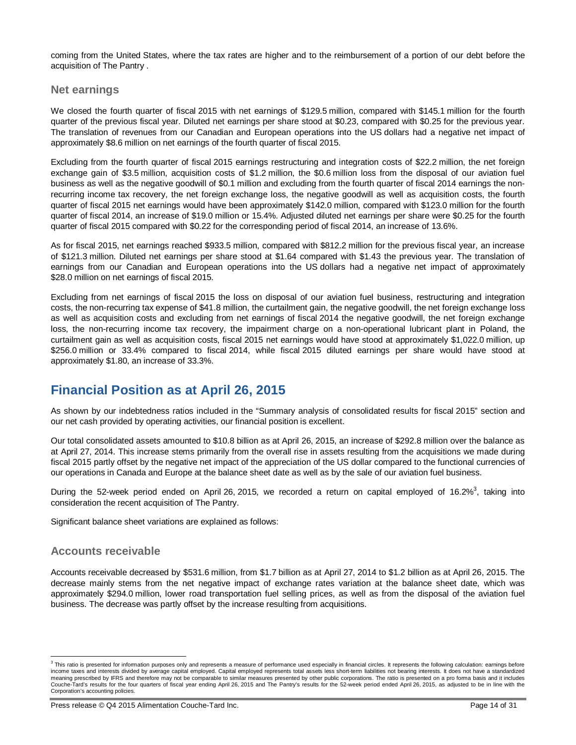coming from the United States, where the tax rates are higher and to the reimbursement of a portion of our debt before the acquisition of The Pantry .

# **Net earnings**

We closed the fourth quarter of fiscal 2015 with net earnings of \$129.5 million, compared with \$145.1 million for the fourth quarter of the previous fiscal year. Diluted net earnings per share stood at \$0.23, compared with \$0.25 for the previous year. The translation of revenues from our Canadian and European operations into the US dollars had a negative net impact of approximately \$8.6 million on net earnings of the fourth quarter of fiscal 2015.

Excluding from the fourth quarter of fiscal 2015 earnings restructuring and integration costs of \$22.2 million, the net foreign exchange gain of \$3.5 million, acquisition costs of \$1.2 million, the \$0.6 million loss from the disposal of our aviation fuel business as well as the negative goodwill of \$0.1 million and excluding from the fourth quarter of fiscal 2014 earnings the nonrecurring income tax recovery, the net foreign exchange loss, the negative goodwill as well as acquisition costs, the fourth quarter of fiscal 2015 net earnings would have been approximately \$142.0 million, compared with \$123.0 million for the fourth quarter of fiscal 2014, an increase of \$19.0 million or 15.4%. Adjusted diluted net earnings per share were \$0.25 for the fourth quarter of fiscal 2015 compared with \$0.22 for the corresponding period of fiscal 2014, an increase of 13.6%.

As for fiscal 2015, net earnings reached \$933.5 million, compared with \$812.2 million for the previous fiscal year, an increase of \$121.3 million. Diluted net earnings per share stood at \$1.64 compared with \$1.43 the previous year. The translation of earnings from our Canadian and European operations into the US dollars had a negative net impact of approximately \$28.0 million on net earnings of fiscal 2015.

Excluding from net earnings of fiscal 2015 the loss on disposal of our aviation fuel business, restructuring and integration costs, the non-recurring tax expense of \$41.8 million, the curtailment gain, the negative goodwill, the net foreign exchange loss as well as acquisition costs and excluding from net earnings of fiscal 2014 the negative goodwill, the net foreign exchange loss, the non-recurring income tax recovery, the impairment charge on a non-operational lubricant plant in Poland, the curtailment gain as well as acquisition costs, fiscal 2015 net earnings would have stood at approximately \$1,022.0 million, up \$256.0 million or 33.4% compared to fiscal 2014, while fiscal 2015 diluted earnings per share would have stood at approximately \$1.80, an increase of 33.3%.

# **Financial Position as at April 26, 2015**

As shown by our indebtedness ratios included in the "Summary analysis of consolidated results for fiscal 2015" section and our net cash provided by operating activities, our financial position is excellent.

Our total consolidated assets amounted to \$10.8 billion as at April 26, 2015, an increase of \$292.8 million over the balance as at April 27, 2014. This increase stems primarily from the overall rise in assets resulting from the acquisitions we made during fiscal 2015 partly offset by the negative net impact of the appreciation of the US dollar compared to the functional currencies of our operations in Canada and Europe at the balance sheet date as well as by the sale of our aviation fuel business.

During the 52-week period ended on April 26, 2015, we recorded a return on capital employed of 16.2%<sup>3</sup>, taking into consideration the recent acquisition of The Pantry.

Significant balance sheet variations are explained as follows:

# **Accounts receivable**

Accounts receivable decreased by \$531.6 million, from \$1.7 billion as at April 27, 2014 to \$1.2 billion as at April 26, 2015. The decrease mainly stems from the net negative impact of exchange rates variation at the balance sheet date, which was approximately \$294.0 million, lower road transportation fuel selling prices, as well as from the disposal of the aviation fuel business. The decrease was partly offset by the increase resulting from acquisitions.

 3 This ratio is presented for information purposes only and represents a measure of performance used especially in financial circles. It represents the following calculation: earnings before income taxes and interests divided by average capital employed. Capital employed represents total assets less short-term liabilities not bearing interests. It does not have a standardized<br>meaning prescribed by IFRS and the Couche-Tard's results for the four quarters of fiscal year ending April 26, 2015 and The Pantry's results for the 52-week period ended April 26, 2015, as adjusted to be in line with the Corporation's accounting policies.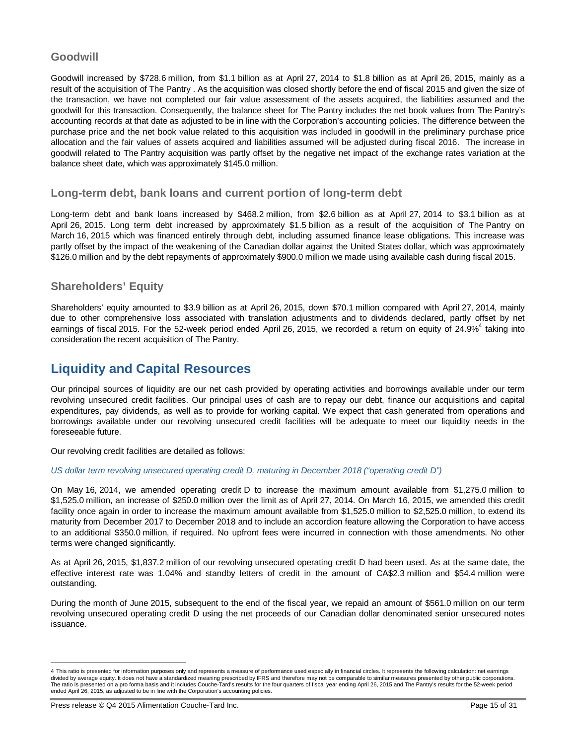# **Goodwill**

Goodwill increased by \$728.6 million, from \$1.1 billion as at April 27, 2014 to \$1.8 billion as at April 26, 2015, mainly as a result of the acquisition of The Pantry . As the acquisition was closed shortly before the end of fiscal 2015 and given the size of the transaction, we have not completed our fair value assessment of the assets acquired, the liabilities assumed and the goodwill for this transaction. Consequently, the balance sheet for The Pantry includes the net book values from The Pantry's accounting records at that date as adjusted to be in line with the Corporation's accounting policies. The difference between the purchase price and the net book value related to this acquisition was included in goodwill in the preliminary purchase price allocation and the fair values of assets acquired and liabilities assumed will be adjusted during fiscal 2016. The increase in goodwill related to The Pantry acquisition was partly offset by the negative net impact of the exchange rates variation at the balance sheet date, which was approximately \$145.0 million.

# **Long-term debt, bank loans and current portion of long-term debt**

Long-term debt and bank loans increased by \$468.2 million, from \$2.6 billion as at April 27, 2014 to \$3.1 billion as at April 26, 2015. Long term debt increased by approximately \$1.5 billion as a result of the acquisition of The Pantry on March 16, 2015 which was financed entirely through debt, including assumed finance lease obligations. This increase was partly offset by the impact of the weakening of the Canadian dollar against the United States dollar, which was approximately \$126.0 million and by the debt repayments of approximately \$900.0 million we made using available cash during fiscal 2015.

# **Shareholders' Equity**

Shareholders' equity amounted to \$3.9 billion as at April 26, 2015, down \$70.1 million compared with April 27, 2014, mainly due to other comprehensive loss associated with translation adjustments and to dividends declared, partly offset by net earnings of fiscal 2015. For the 52-week period ended April 26, 2015, we recorded a return on equity of 24.9%<sup>4</sup> taking into consideration the recent acquisition of The Pantry.

# **Liquidity and Capital Resources**

Our principal sources of liquidity are our net cash provided by operating activities and borrowings available under our term revolving unsecured credit facilities. Our principal uses of cash are to repay our debt, finance our acquisitions and capital expenditures, pay dividends, as well as to provide for working capital. We expect that cash generated from operations and borrowings available under our revolving unsecured credit facilities will be adequate to meet our liquidity needs in the foreseeable future.

Our revolving credit facilities are detailed as follows:

*US dollar term revolving unsecured operating credit D, maturing in December 2018 ("operating credit D")*

On May 16, 2014, we amended operating credit D to increase the maximum amount available from \$1,275.0 million to \$1,525.0 million, an increase of \$250.0 million over the limit as of April 27, 2014. On March 16, 2015, we amended this credit facility once again in order to increase the maximum amount available from \$1,525.0 million to \$2,525.0 million, to extend its maturity from December 2017 to December 2018 and to include an accordion feature allowing the Corporation to have access to an additional \$350.0 million, if required. No upfront fees were incurred in connection with those amendments. No other terms were changed significantly.

As at April 26, 2015, \$1,837.2 million of our revolving unsecured operating credit D had been used. As at the same date, the effective interest rate was 1.04% and standby letters of credit in the amount of CA\$2.3 million and \$54.4 million were outstanding.

During the month of June 2015, subsequent to the end of the fiscal year, we repaid an amount of \$561.0 million on our term revolving unsecured operating credit D using the net proceeds of our Canadian dollar denominated senior unsecured notes issuance.

 $\overline{a}$ 

<sup>4</sup> This ratio is presented for information purposes only and represents a measure of performance used especially in financial circles. It represents the following calculation: net earnings divided by average equity. It does not have a standardized meaning prescribed by IFRS and therefore may not be comparable to similar measures presented by other public corporations. The ratio is presented on a pro forma basis and it includes Couche-Tard's results for the four quarters of fiscal year ending April 26, 2015 and The Pantry's results for the 52-week period ended April 26, 2015, as adjusted to be in line with the Corporation's accounting policies.

Press release © Q4 2015 Alimentation Couche-Tard Inc. Page 15 of 31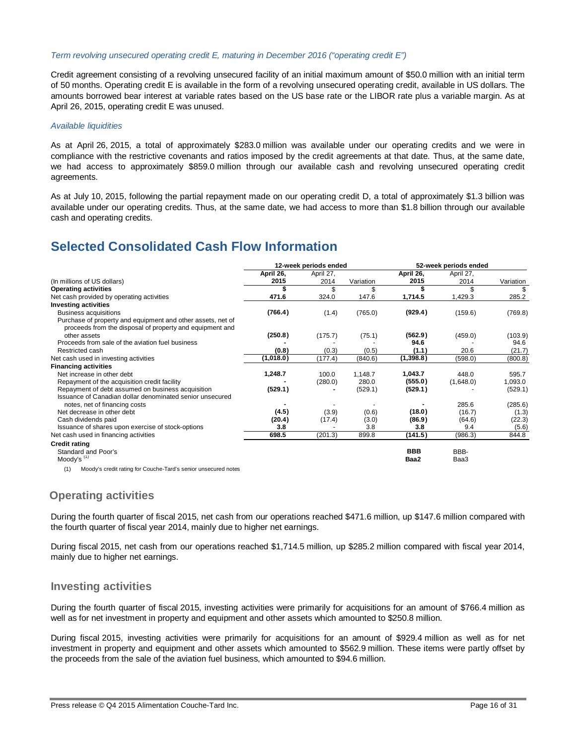#### *Term revolving unsecured operating credit E, maturing in December 2016 ("operating credit E")*

Credit agreement consisting of a revolving unsecured facility of an initial maximum amount of \$50.0 million with an initial term of 50 months. Operating credit E is available in the form of a revolving unsecured operating credit, available in US dollars. The amounts borrowed bear interest at variable rates based on the US base rate or the LIBOR rate plus a variable margin. As at April 26, 2015, operating credit E was unused.

#### *Available liquidities*

As at April 26, 2015, a total of approximately \$283.0 million was available under our operating credits and we were in compliance with the restrictive covenants and ratios imposed by the credit agreements at that date. Thus, at the same date, we had access to approximately \$859.0 million through our available cash and revolving unsecured operating credit agreements.

As at July 10, 2015, following the partial repayment made on our operating credit D, a total of approximately \$1.3 billion was available under our operating credits. Thus, at the same date, we had access to more than \$1.8 billion through our available cash and operating credits.

# **Selected Consolidated Cash Flow Information**

|                                                                                                                         | 12-week periods ended |           | 52-week periods ended |            |           |           |
|-------------------------------------------------------------------------------------------------------------------------|-----------------------|-----------|-----------------------|------------|-----------|-----------|
|                                                                                                                         | April 26,             | April 27, |                       | April 26,  | April 27, |           |
| (In millions of US dollars)                                                                                             | 2015                  | 2014      | Variation             | 2015       | 2014      | Variation |
| <b>Operating activities</b>                                                                                             | S                     | \$        | \$                    |            |           | \$        |
| Net cash provided by operating activities                                                                               | 471.6                 | 324.0     | 147.6                 | 1,714.5    | 1,429.3   | 285.2     |
| <b>Investing activities</b>                                                                                             |                       |           |                       |            |           |           |
| <b>Business acquisitions</b>                                                                                            | (766.4)               | (1.4)     | (765.0)               | (929.4)    | (159.6)   | (769.8)   |
| Purchase of property and equipment and other assets, net of<br>proceeds from the disposal of property and equipment and |                       |           |                       |            |           |           |
| other assets                                                                                                            | (250.8)               | (175.7)   | (75.1)                | (562.9)    | (459.0)   | (103.9)   |
| Proceeds from sale of the aviation fuel business                                                                        |                       |           |                       | 94.6       |           | 94.6      |
| Restricted cash                                                                                                         | (0.8)                 | (0.3)     | (0.5)                 | (1.1)      | 20.6      | (21.7)    |
| Net cash used in investing activities                                                                                   | (1,018.0)             | (177.4)   | (840.6)               | (1, 398.8) | (598.0)   | (800.8)   |
| <b>Financing activities</b>                                                                                             |                       |           |                       |            |           |           |
| Net increase in other debt                                                                                              | 1,248.7               | 100.0     | 1,148.7               | 1,043.7    | 448.0     | 595.7     |
| Repayment of the acquisition credit facility                                                                            |                       | (280.0)   | 280.0                 | (555.0)    | (1,648.0) | 1,093.0   |
| Repayment of debt assumed on business acquisition                                                                       | (529.1)               |           | (529.1)               | (529.1)    |           | (529.1)   |
| Issuance of Canadian dollar denominated senior unsecured                                                                |                       |           |                       |            |           |           |
| notes, net of financing costs                                                                                           |                       |           |                       |            | 285.6     | (285.6)   |
| Net decrease in other debt                                                                                              | (4.5)                 | (3.9)     | (0.6)                 | (18.0)     | (16.7)    | (1.3)     |
| Cash dividends paid                                                                                                     | (20.4)                | (17.4)    | (3.0)                 | (86.9)     | (64.6)    | (22.3)    |
| Issuance of shares upon exercise of stock-options                                                                       | 3.8                   |           | 3.8                   | 3.8        | 9.4       | (5.6)     |
| Net cash used in financing activities                                                                                   | 698.5                 | (201.3)   | 899.8                 | (141.5)    | (986.3)   | 844.8     |
| <b>Credit rating</b>                                                                                                    |                       |           |                       |            |           |           |
| Standard and Poor's                                                                                                     |                       |           |                       | <b>BBB</b> | BBB-      |           |
| Moody's $(1)$                                                                                                           |                       |           |                       | Baa2       | Baa3      |           |
| Moody's credit rating for Couche-Tard's senior unsecured notes<br>(1)                                                   |                       |           |                       |            |           |           |

(1) Moody's credit rating for Couche-Tard's senior unsecured notes

# **Operating activities**

During the fourth quarter of fiscal 2015, net cash from our operations reached \$471.6 million, up \$147.6 million compared with the fourth quarter of fiscal year 2014, mainly due to higher net earnings.

During fiscal 2015, net cash from our operations reached \$1,714.5 million, up \$285.2 million compared with fiscal year 2014, mainly due to higher net earnings.

# **Investing activities**

During the fourth quarter of fiscal 2015, investing activities were primarily for acquisitions for an amount of \$766.4 million as well as for net investment in property and equipment and other assets which amounted to \$250.8 million.

During fiscal 2015, investing activities were primarily for acquisitions for an amount of \$929.4 million as well as for net investment in property and equipment and other assets which amounted to \$562.9 million. These items were partly offset by the proceeds from the sale of the aviation fuel business, which amounted to \$94.6 million.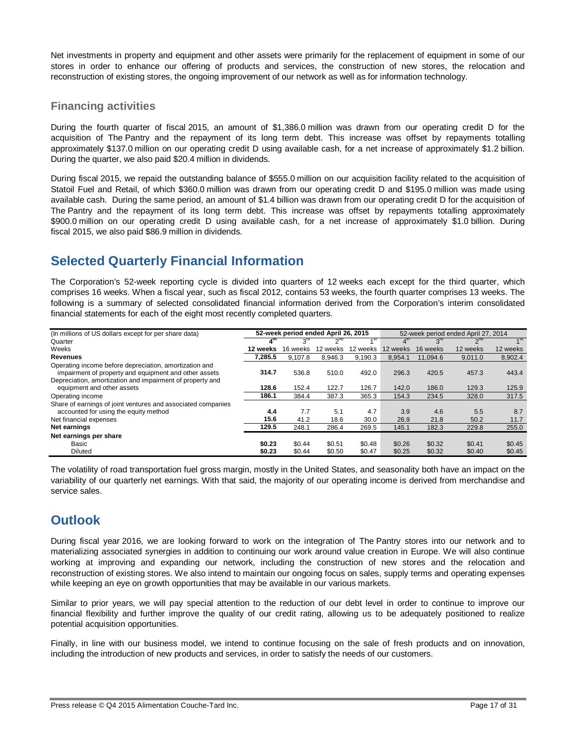Net investments in property and equipment and other assets were primarily for the replacement of equipment in some of our stores in order to enhance our offering of products and services, the construction of new stores, the relocation and reconstruction of existing stores, the ongoing improvement of our network as well as for information technology.

# **Financing activities**

During the fourth quarter of fiscal 2015, an amount of \$1,386.0 million was drawn from our operating credit D for the acquisition of The Pantry and the repayment of its long term debt. This increase was offset by repayments totalling approximately \$137.0 million on our operating credit D using available cash, for a net increase of approximately \$1.2 billion. During the quarter, we also paid \$20.4 million in dividends.

During fiscal 2015, we repaid the outstanding balance of \$555.0 million on our acquisition facility related to the acquisition of Statoil Fuel and Retail, of which \$360.0 million was drawn from our operating credit D and \$195.0 million was made using available cash. During the same period, an amount of \$1.4 billion was drawn from our operating credit D for the acquisition of The Pantry and the repayment of its long term debt. This increase was offset by repayments totalling approximately \$900.0 million on our operating credit D using available cash, for a net increase of approximately \$1.0 billion. During fiscal 2015, we also paid \$86.9 million in dividends.

# **Selected Quarterly Financial Information**

The Corporation's 52-week reporting cycle is divided into quarters of 12 weeks each except for the third quarter, which comprises 16 weeks. When a fiscal year, such as fiscal 2012, contains 53 weeks, the fourth quarter comprises 13 weeks. The following is a summary of selected consolidated financial information derived from the Corporation's interim consolidated financial statements for each of the eight most recently completed quarters.

| (In millions of US dollars except for per share data)                                                           | 52-week period ended April 26, 2015<br>52-week period ended April 27, 2014 |                 |          |          |                |                 |                        |                   |
|-----------------------------------------------------------------------------------------------------------------|----------------------------------------------------------------------------|-----------------|----------|----------|----------------|-----------------|------------------------|-------------------|
| Quarter                                                                                                         | $4^{\rm m}$                                                                | $3^{\text{rd}}$ | $2^{nd}$ |          | $4^{\text{m}}$ | 3 <sup>rd</sup> | $\gamma$ <sup>nd</sup> | $\overline{A}$ st |
| Weeks                                                                                                           | 12 weeks                                                                   | 16 weeks        | 12 weeks | 12 weeks | 12 weeks       | 16 weeks        | 12 weeks               | 12 weeks          |
| <b>Revenues</b>                                                                                                 | 7.285.5                                                                    | 9.107.8         | 8.946.3  | 9.190.3  | 8.954.1        | 11.094.6        | 9.011.0                | 8.902.4           |
| Operating income before depreciation, amortization and<br>impairment of property and equipment and other assets | 314.7                                                                      | 536.8           | 510.0    | 492.0    | 296.3          | 420.5           | 457.3                  | 443.4             |
| Depreciation, amortization and impairment of property and<br>equipment and other assets                         | 128.6                                                                      | 152.4           | 122.7    | 126.7    | 142.0          | 186.0           | 129.3                  | 125.9             |
| Operating income                                                                                                | 186.1                                                                      | 384.4           | 387.3    | 365.3    | 154.3          | 234.5           | 328.0                  | 317.5             |
| Share of earnings of joint ventures and associated companies<br>accounted for using the equity method           | 4.4                                                                        | 7.7             | 5.1      | 4.7      | 3.9            | 4.6             | 5.5                    | 8.7               |
| Net financial expenses                                                                                          | 15.6                                                                       | 41.2            | 18.6     | 30.0     | 26.9           | 21.8            | 50.2                   | 11.7              |
| Net earnings                                                                                                    | 129.5                                                                      | 248.1           | 286.4    | 269.5    | 145.1          | 182.3           | 229.8                  | 255.0             |
| Net earnings per share                                                                                          |                                                                            |                 |          |          |                |                 |                        |                   |
| Basic                                                                                                           | \$0.23                                                                     | \$0.44          | \$0.51   | \$0.48   | \$0.26         | \$0.32          | \$0.41                 | \$0.45            |
| <b>Diluted</b>                                                                                                  | \$0.23                                                                     | \$0.44          | \$0.50   | \$0.47   | \$0.25         | \$0.32          | \$0.40                 | \$0.45            |

The volatility of road transportation fuel gross margin, mostly in the United States, and seasonality both have an impact on the variability of our quarterly net earnings. With that said, the majority of our operating income is derived from merchandise and service sales.

# **Outlook**

During fiscal year 2016, we are looking forward to work on the integration of The Pantry stores into our network and to materializing associated synergies in addition to continuing our work around value creation in Europe. We will also continue working at improving and expanding our network, including the construction of new stores and the relocation and reconstruction of existing stores. We also intend to maintain our ongoing focus on sales, supply terms and operating expenses while keeping an eye on growth opportunities that may be available in our various markets.

Similar to prior years, we will pay special attention to the reduction of our debt level in order to continue to improve our financial flexibility and further improve the quality of our credit rating, allowing us to be adequately positioned to realize potential acquisition opportunities.

Finally, in line with our business model, we intend to continue focusing on the sale of fresh products and on innovation, including the introduction of new products and services, in order to satisfy the needs of our customers.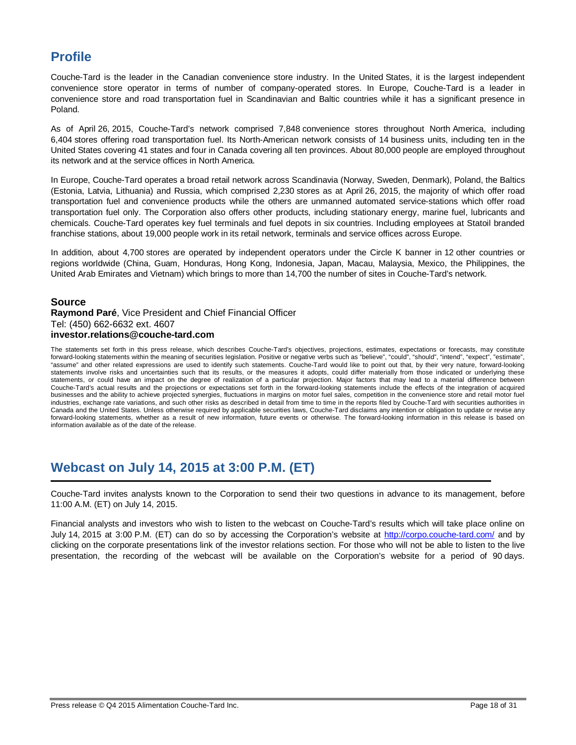# **Profile**

Couche-Tard is the leader in the Canadian convenience store industry. In the United States, it is the largest independent convenience store operator in terms of number of company-operated stores. In Europe, Couche-Tard is a leader in convenience store and road transportation fuel in Scandinavian and Baltic countries while it has a significant presence in Poland.

As of April 26, 2015, Couche-Tard's network comprised 7,848 convenience stores throughout North America, including 6,404 stores offering road transportation fuel. Its North-American network consists of 14 business units, including ten in the United States covering 41 states and four in Canada covering all ten provinces. About 80,000 people are employed throughout its network and at the service offices in North America.

In Europe, Couche-Tard operates a broad retail network across Scandinavia (Norway, Sweden, Denmark), Poland, the Baltics (Estonia, Latvia, Lithuania) and Russia, which comprised 2,230 stores as at April 26, 2015, the majority of which offer road transportation fuel and convenience products while the others are unmanned automated service-stations which offer road transportation fuel only. The Corporation also offers other products, including stationary energy, marine fuel, lubricants and chemicals. Couche-Tard operates key fuel terminals and fuel depots in six countries. Including employees at Statoil branded franchise stations, about 19,000 people work in its retail network, terminals and service offices across Europe.

In addition, about 4,700 stores are operated by independent operators under the Circle K banner in 12 other countries or regions worldwide (China, Guam, Honduras, Hong Kong, Indonesia, Japan, Macau, Malaysia, Mexico, the Philippines, the United Arab Emirates and Vietnam) which brings to more than 14,700 the number of sites in Couche-Tard's network.

# **Source**

### **Raymond Paré**, Vice President and Chief Financial Officer Tel: (450) 662-6632 ext. 4607 **investor.relations@couche-tard.com**

The statements set forth in this press release, which describes Couche-Tard's objectives, projections, estimates, expectations or forecasts, may constitute forward-looking statements within the meaning of securities legislation. Positive or negative verbs such as "believe", "could", "should", "intend", "expect", "estimate", "assume" and other related expressions are used to identify such statements. Couche-Tard would like to point out that, by their very nature, forward-looking statements involve risks and uncertainties such that its results, or the measures it adopts, could differ materially from those indicated or underlying these statements, or could have an impact on the degree of realization of a particular projection. Major factors that may lead to a material difference between Couche-Tard's actual results and the projections or expectations set forth in the forward-looking statements include the effects of the integration of acquired businesses and the ability to achieve projected synergies, fluctuations in margins on motor fuel sales, competition in the convenience store and retail motor fuel industries, exchange rate variations, and such other risks as described in detail from time to time in the reports filed by Couche-Tard with securities authorities in Canada and the United States. Unless otherwise required by applicable securities laws, Couche-Tard disclaims any intention or obligation to update or revise any forward-looking statements, whether as a result of new information, future events or otherwise. The forward-looking information in this release is based on information available as of the date of the release.

# **Webcast on July 14, 2015 at 3:00 P.M. (ET)**

Couche-Tard invites analysts known to the Corporation to send their two questions in advance to its management, before 11:00 A.M. (ET) on July 14, 2015.

Financial analysts and investors who wish to listen to the webcast on Couche-Tard's results which will take place online on July 14, 2015 at 3:00 P.M. (ET) can do so by accessing the Corporation's website at http://corpo.couche-tard.com/ and by clicking on the corporate presentations link of the investor relations section. For those who will not be able to listen to the live presentation, the recording of the webcast will be available on the Corporation's website for a period of 90 days.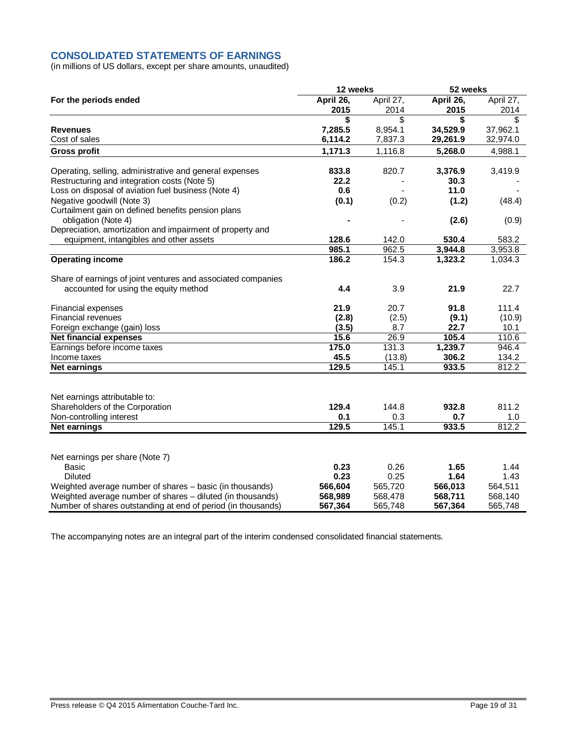# **CONSOLIDATED STATEMENTS OF EARNINGS**

(in millions of US dollars, except per share amounts, unaudited)

|                                                              | 12 weeks  |           | 52 weeks  |           |
|--------------------------------------------------------------|-----------|-----------|-----------|-----------|
| For the periods ended                                        | April 26, | April 27, | April 26, | April 27, |
|                                                              | 2015      | 2014      | 2015      | 2014      |
|                                                              | \$        | \$        | S         | \$        |
| <b>Revenues</b>                                              | 7,285.5   | 8,954.1   | 34,529.9  | 37,962.1  |
| Cost of sales                                                | 6,114.2   | 7,837.3   | 29,261.9  | 32,974.0  |
| <b>Gross profit</b>                                          | 1,171.3   | 1,116.8   | 5,268.0   | 4,988.1   |
| Operating, selling, administrative and general expenses      | 833.8     | 820.7     | 3,376.9   | 3,419.9   |
| Restructuring and integration costs (Note 5)                 | 22.2      |           | 30.3      |           |
| Loss on disposal of aviation fuel business (Note 4)          | 0.6       |           | 11.0      |           |
| Negative goodwill (Note 3)                                   | (0.1)     | (0.2)     | (1.2)     | (48.4)    |
| Curtailment gain on defined benefits pension plans           |           |           |           |           |
| obligation (Note 4)                                          |           |           | (2.6)     | (0.9)     |
| Depreciation, amortization and impairment of property and    |           |           |           |           |
| equipment, intangibles and other assets                      | 128.6     | 142.0     | 530.4     | 583.2     |
|                                                              | 985.1     | 962.5     | 3,944.8   | 3,953.8   |
| <b>Operating income</b>                                      | 186.2     | 154.3     | 1,323.2   | 1,034.3   |
| Share of earnings of joint ventures and associated companies |           |           |           |           |
| accounted for using the equity method                        | 4.4       | 3.9       | 21.9      | 22.7      |
| Financial expenses                                           | 21.9      | 20.7      | 91.8      | 111.4     |
| Financial revenues                                           | (2.8)     | (2.5)     | (9.1)     | (10.9)    |
| Foreign exchange (gain) loss                                 | (3.5)     | 8.7       | 22.7      | 10.1      |
| <b>Net financial expenses</b>                                | 15.6      | 26.9      | 105.4     | 110.6     |
| Earnings before income taxes                                 | 175.0     | 131.3     | 1,239.7   | 946.4     |
| Income taxes                                                 | 45.5      | (13.8)    | 306.2     | 134.2     |
| <b>Net earnings</b>                                          | 129.5     | 145.1     | 933.5     | 812.2     |
|                                                              |           |           |           |           |
| Net earnings attributable to:                                |           |           |           |           |
| Shareholders of the Corporation                              | 129.4     | 144.8     | 932.8     | 811.2     |
| Non-controlling interest                                     | 0.1       | 0.3       | 0.7       | 1.0       |
| <b>Net earnings</b>                                          | 129.5     | 145.1     | 933.5     | 812.2     |
|                                                              |           |           |           |           |
| Net earnings per share (Note 7)                              |           |           |           |           |
| <b>Basic</b>                                                 | 0.23      | 0.26      | 1.65      | 1.44      |
| <b>Diluted</b>                                               | 0.23      | 0.25      | 1.64      | 1.43      |
| Weighted average number of shares - basic (in thousands)     | 566,604   | 565,720   | 566,013   | 564,511   |
| Weighted average number of shares - diluted (in thousands)   | 568,989   | 568,478   | 568,711   | 568,140   |
| Number of shares outstanding at end of period (in thousands) | 567,364   | 565,748   | 567,364   | 565,748   |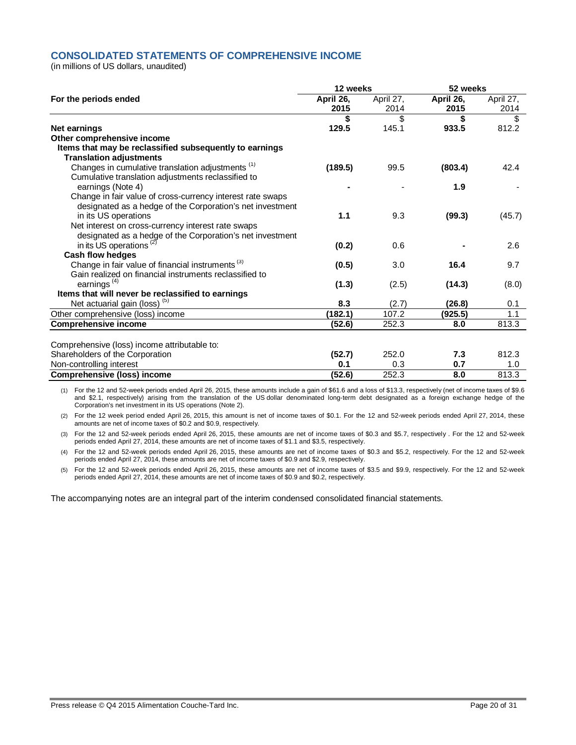# **CONSOLIDATED STATEMENTS OF COMPREHENSIVE INCOME**

(in millions of US dollars, unaudited)

|                                                              | 12 weeks  |           | 52 weeks  |           |  |
|--------------------------------------------------------------|-----------|-----------|-----------|-----------|--|
| For the periods ended                                        | April 26, | April 27, | April 26, | April 27, |  |
|                                                              | 2015      | 2014      | 2015      | 2014      |  |
|                                                              | \$        | \$        | \$        | \$        |  |
| <b>Net earnings</b>                                          | 129.5     | 145.1     | 933.5     | 812.2     |  |
| Other comprehensive income                                   |           |           |           |           |  |
| Items that may be reclassified subsequently to earnings      |           |           |           |           |  |
| <b>Translation adjustments</b>                               |           |           |           |           |  |
| Changes in cumulative translation adjustments <sup>(1)</sup> | (189.5)   | 99.5      | (803.4)   | 42.4      |  |
| Cumulative translation adjustments reclassified to           |           |           |           |           |  |
| earnings (Note 4)                                            |           |           | 1.9       |           |  |
| Change in fair value of cross-currency interest rate swaps   |           |           |           |           |  |
| designated as a hedge of the Corporation's net investment    |           |           |           |           |  |
| in its US operations                                         | 1.1       | 9.3       | (99.3)    | (45.7)    |  |
| Net interest on cross-currency interest rate swaps           |           |           |           |           |  |
| designated as a hedge of the Corporation's net investment    |           |           |           |           |  |
| in its US operations <sup>(2)</sup>                          | (0.2)     | 0.6       |           | 2.6       |  |
| Cash flow hedges                                             |           |           |           |           |  |
| Change in fair value of financial instruments <sup>(3)</sup> | (0.5)     | 3.0       | 16.4      | 9.7       |  |
| Gain realized on financial instruments reclassified to       |           |           |           |           |  |
| earnings <sup>(4)</sup>                                      | (1.3)     | (2.5)     | (14.3)    | (8.0)     |  |
| Items that will never be reclassified to earnings            |           |           |           |           |  |
| Net actuarial gain (loss) <sup>(5)</sup>                     | 8.3       | (2.7)     | (26.8)    | 0.1       |  |
| Other comprehensive (loss) income                            | (182.1)   | 107.2     | (925.5)   | 1.1       |  |
| <b>Comprehensive income</b>                                  | (52.6)    | 252.3     | 8.0       | 813.3     |  |
|                                                              |           |           |           |           |  |
| Comprehensive (loss) income attributable to:                 |           |           |           |           |  |
| Shareholders of the Corporation                              | (52.7)    | 252.0     | 7.3       | 812.3     |  |
| Non-controlling interest                                     | 0.1       | 0.3       | 0.7       | 1.0       |  |
| <b>Comprehensive (loss) income</b>                           | (52.6)    | 252.3     | 8.0       | 813.3     |  |

(1) For the 12 and 52-week periods ended April 26, 2015, these amounts include a gain of \$61.6 and a loss of \$13.3, respectively (net of income taxes of \$9.6 and \$2.1, respectively) arising from the translation of the US dollar denominated long-term debt designated as a foreign exchange hedge of the Corporation's net investment in its US operations (Note 2).

(2) For the 12 week period ended April 26, 2015, this amount is net of income taxes of \$0.1. For the 12 and 52-week periods ended April 27, 2014, these amounts are net of income taxes of \$0.2 and \$0.9, respectively.

(3) For the 12 and 52-week periods ended April 26, 2015, these amounts are net of income taxes of \$0.3 and \$5.7, respectively . For the 12 and 52-week periods ended April 27, 2014, these amounts are net of income taxes of \$1.1 and \$3.5, respectively.

(4) For the 12 and 52-week periods ended April 26, 2015, these amounts are net of income taxes of \$0.3 and \$5.2, respectively. For the 12 and 52-week periods ended April 27, 2014, these amounts are net of income taxes of \$0.9 and \$2.9, respectively.

(5) For the 12 and 52-week periods ended April 26, 2015, these amounts are net of income taxes of \$3.5 and \$9.9, respectively. For the 12 and 52-week periods ended April 27, 2014, these amounts are net of income taxes of \$0.9 and \$0.2, respectively.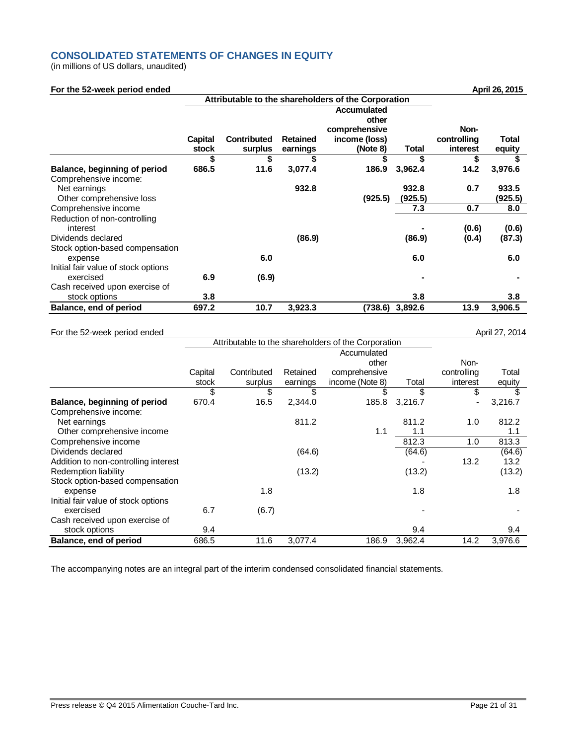# **CONSOLIDATED STATEMENTS OF CHANGES IN EQUITY**

(in millions of US dollars, unaudited)

| For the 52-week period ended             |         |                                                     |                 |                                                        |         |                     | April 26, 2015 |
|------------------------------------------|---------|-----------------------------------------------------|-----------------|--------------------------------------------------------|---------|---------------------|----------------|
|                                          |         | Attributable to the shareholders of the Corporation |                 |                                                        |         |                     |                |
|                                          | Capital | <b>Contributed</b>                                  | <b>Retained</b> | Accumulated<br>other<br>comprehensive<br>income (loss) |         | Non-<br>controlling | Total          |
|                                          | stock   | surplus                                             | earnings        | (Note 8)                                               | Total   | interest            | equity         |
|                                          |         | \$                                                  |                 |                                                        |         |                     |                |
| Balance, beginning of period             | 686.5   | 11.6                                                | 3,077.4         | 186.9                                                  | 3,962.4 | 14.2                | 3,976.6        |
| Comprehensive income:                    |         |                                                     |                 |                                                        |         |                     |                |
| Net earnings                             |         |                                                     | 932.8           |                                                        | 932.8   | 0.7                 | 933.5          |
| Other comprehensive loss                 |         |                                                     |                 | (925.5)                                                | (925.5) |                     | (925.5)        |
| Comprehensive income                     |         |                                                     |                 |                                                        | 7.3     | 0.7                 | 8.0            |
| Reduction of non-controlling<br>interest |         |                                                     |                 |                                                        |         | (0.6)               | (0.6)          |
| Dividends declared                       |         |                                                     | (86.9)          |                                                        | (86.9)  | (0.4)               | (87.3)         |
| Stock option-based compensation          |         |                                                     |                 |                                                        |         |                     |                |
| expense                                  |         | 6.0                                                 |                 |                                                        | 6.0     |                     | 6.0            |
| Initial fair value of stock options      |         |                                                     |                 |                                                        |         |                     |                |
| exercised                                | 6.9     | (6.9)                                               |                 |                                                        |         |                     |                |
| Cash received upon exercise of           |         |                                                     |                 |                                                        |         |                     |                |

stock options **3.8 3.8 3.8 Balance, end of period 697.2 10.7 3,923.3 (738.6) 3,892.6 13.9 3,906.5**

### For the 52-week period ended April 27, 2014

|                                      | Attributable to the shareholders of the Corporation |             |          |                 |         |                |         |
|--------------------------------------|-----------------------------------------------------|-------------|----------|-----------------|---------|----------------|---------|
|                                      |                                                     |             |          | Accumulated     |         |                |         |
|                                      |                                                     |             |          | other           |         | Non-           |         |
|                                      | Capital                                             | Contributed | Retained | comprehensive   |         | controlling    | Total   |
|                                      | stock                                               | surplus     | earnings | income (Note 8) | Total   | interest       | equity  |
|                                      | \$                                                  | \$          | \$       | \$              | \$      | \$             | \$      |
| Balance, beginning of period         | 670.4                                               | 16.5        | 2,344.0  | 185.8           | 3,216.7 | $\blacksquare$ | 3,216.7 |
| Comprehensive income:                |                                                     |             |          |                 |         |                |         |
| Net earnings                         |                                                     |             | 811.2    |                 | 811.2   | 1.0            | 812.2   |
| Other comprehensive income           |                                                     |             |          | 1.1             | 1.1     |                | 1.1     |
| Comprehensive income                 |                                                     |             |          |                 | 812.3   | 1.0            | 813.3   |
| Dividends declared                   |                                                     |             | (64.6)   |                 | (64.6)  |                | (64.6)  |
| Addition to non-controlling interest |                                                     |             |          |                 |         | 13.2           | 13.2    |
| Redemption liability                 |                                                     |             | (13.2)   |                 | (13.2)  |                | (13.2)  |
| Stock option-based compensation      |                                                     |             |          |                 |         |                |         |
| expense                              |                                                     | 1.8         |          |                 | 1.8     |                | 1.8     |
| Initial fair value of stock options  |                                                     |             |          |                 |         |                |         |
| exercised                            | 6.7                                                 | (6.7)       |          |                 |         |                |         |
| Cash received upon exercise of       |                                                     |             |          |                 |         |                |         |
| stock options                        | 9.4                                                 |             |          |                 | 9.4     |                | 9.4     |
| Balance, end of period               | 686.5                                               | 11.6        | 3,077.4  | 186.9           | 3,962.4 | 14.2           | 3,976.6 |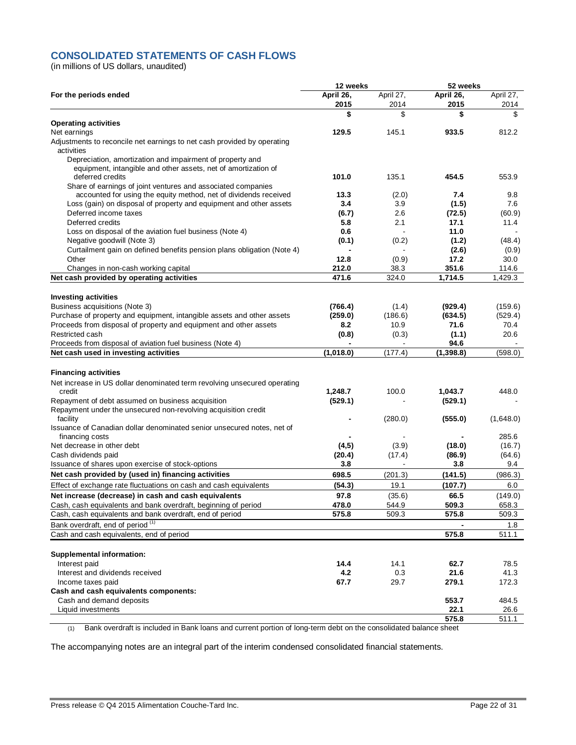# **CONSOLIDATED STATEMENTS OF CASH FLOWS**

(in millions of US dollars, unaudited)

|                                                                                                                             | 12 weeks          |                   | 52 weeks          |                   |  |
|-----------------------------------------------------------------------------------------------------------------------------|-------------------|-------------------|-------------------|-------------------|--|
| For the periods ended                                                                                                       | April 26,<br>2015 | April 27,<br>2014 | April 26,<br>2015 | April 27,<br>2014 |  |
|                                                                                                                             | \$                | \$                | \$                | \$                |  |
| <b>Operating activities</b>                                                                                                 |                   |                   |                   |                   |  |
| Net earnings                                                                                                                | 129.5             | 145.1             | 933.5             | 812.2             |  |
| Adjustments to reconcile net earnings to net cash provided by operating<br>activities                                       |                   |                   |                   |                   |  |
| Depreciation, amortization and impairment of property and<br>equipment, intangible and other assets, net of amortization of |                   |                   |                   |                   |  |
| deferred credits<br>Share of earnings of joint ventures and associated companies                                            | 101.0             | 135.1             | 454.5             | 553.9             |  |
| accounted for using the equity method, net of dividends received                                                            | 13.3              | (2.0)             | 7.4               | 9.8               |  |
| Loss (gain) on disposal of property and equipment and other assets                                                          | 3.4               | 3.9               | (1.5)             | 7.6               |  |
| Deferred income taxes                                                                                                       | (6.7)             | 2.6               | (72.5)            | (60.9)            |  |
| Deferred credits                                                                                                            | 5.8               | 2.1               | 17.1              | 11.4              |  |
| Loss on disposal of the aviation fuel business (Note 4)                                                                     | 0.6               |                   | 11.0              |                   |  |
| Negative goodwill (Note 3)                                                                                                  | (0.1)             | (0.2)             | (1.2)             | (48.4)            |  |
| Curtailment gain on defined benefits pension plans obligation (Note 4)                                                      |                   |                   | (2.6)             | (0.9)             |  |
| Other                                                                                                                       | 12.8              | (0.9)             | 17.2              | 30.0              |  |
| Changes in non-cash working capital                                                                                         | 212.0             | 38.3              | 351.6             | 114.6             |  |
| Net cash provided by operating activities                                                                                   | 471.6             | 324.0             | 1.714.5           | 1,429.3           |  |
|                                                                                                                             |                   |                   |                   |                   |  |
| <b>Investing activities</b>                                                                                                 |                   |                   |                   |                   |  |
| Business acquisitions (Note 3)                                                                                              | (766.4)           | (1.4)             | (929.4)           | (159.6)           |  |
| Purchase of property and equipment, intangible assets and other assets                                                      | (259.0)           | (186.6)           | (634.5)           | (529.4)           |  |
| Proceeds from disposal of property and equipment and other assets                                                           | 8.2               | 10.9              | 71.6              | 70.4              |  |
| Restricted cash                                                                                                             | (0.8)             | (0.3)             | (1.1)             | 20.6              |  |
| Proceeds from disposal of aviation fuel business (Note 4)                                                                   |                   |                   | 94.6              |                   |  |
| Net cash used in investing activities                                                                                       | (1,018.0)         | (177.4)           | (1,398.8)         | (598.0)           |  |
| <b>Financing activities</b>                                                                                                 |                   |                   |                   |                   |  |
| Net increase in US dollar denominated term revolving unsecured operating<br>credit                                          | 1,248.7           | 100.0             | 1,043.7           | 448.0             |  |
| Repayment of debt assumed on business acquisition                                                                           | (529.1)           |                   | (529.1)           |                   |  |
| Repayment under the unsecured non-revolving acquisition credit<br>facility                                                  |                   | (280.0)           | (555.0)           | (1,648.0)         |  |
| Issuance of Canadian dollar denominated senior unsecured notes, net of<br>financing costs                                   |                   |                   |                   | 285.6             |  |
| Net decrease in other debt                                                                                                  | (4,5)             | (3.9)             | (18.0)            | (16.7)            |  |
| Cash dividends paid                                                                                                         | (20.4)            | (17.4)            | (86.9)            | (64.6)            |  |
| Issuance of shares upon exercise of stock-options                                                                           | 3.8               |                   | 3.8               | 9.4               |  |
| Net cash provided by (used in) financing activities                                                                         | 698.5             | (201.3)           | (141.5)           | (986.3)           |  |
| Effect of exchange rate fluctuations on cash and cash equivalents                                                           | (54.3)            | 19.1              | (107.7)           | 6.0               |  |
| Net increase (decrease) in cash and cash equivalents                                                                        | 97.8              | (35.6)            | 66.5              | (149.0)           |  |
| Cash, cash equivalents and bank overdraft, beginning of period                                                              | 478.0             | 544.9             | 509.3             | 658.3             |  |
| Cash, cash equivalents and bank overdraft, end of period                                                                    | 575.8             | 509.3             | 575.8             | 509.3             |  |
| Bank overdraft, end of period <sup>(1)</sup>                                                                                |                   |                   |                   | 1.8               |  |
| Cash and cash equivalents, end of period                                                                                    |                   |                   | 575.8             | 511.1             |  |
|                                                                                                                             |                   |                   |                   |                   |  |
| <b>Supplemental information:</b>                                                                                            |                   |                   |                   |                   |  |
| Interest paid                                                                                                               | 14.4              | 14.1              | 62.7              | 78.5              |  |
| Interest and dividends received                                                                                             | 4.2               | 0.3               | 21.6              | 41.3              |  |
| Income taxes paid                                                                                                           | 67.7              | 29.7              | 279.1             | 172.3             |  |
| Cash and cash equivalents components:                                                                                       |                   |                   |                   |                   |  |
| Cash and demand deposits                                                                                                    |                   |                   | 553.7             | 484.5             |  |
| Liquid investments                                                                                                          |                   |                   | 22.1              | 26.6              |  |
|                                                                                                                             |                   |                   | 575.8             | 511.1             |  |

(1) Bank overdraft is included in Bank loans and current portion of long-term debt on the consolidated balance sheet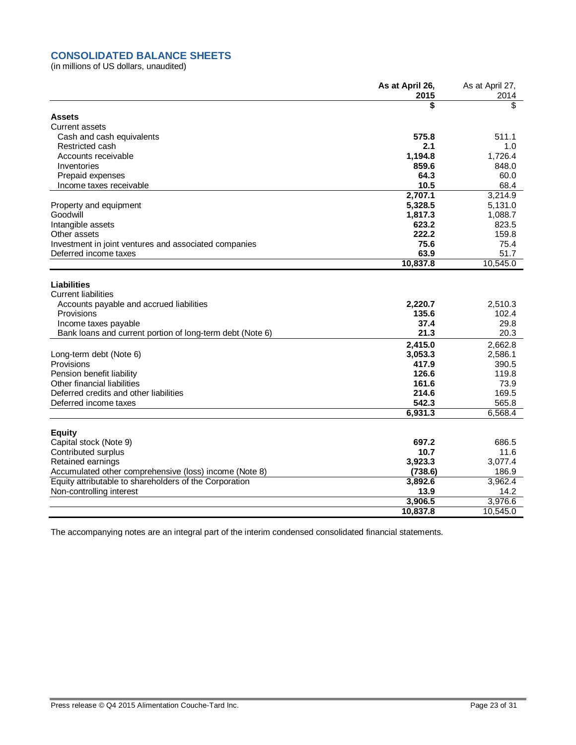# **CONSOLIDATED BALANCE SHEETS**

(in millions of US dollars, unaudited)

|                                                                                                                  | As at April 26,  | As at April 27,  |
|------------------------------------------------------------------------------------------------------------------|------------------|------------------|
|                                                                                                                  | 2015             | 2014<br>\$       |
|                                                                                                                  | \$               |                  |
| <b>Assets</b>                                                                                                    |                  |                  |
| <b>Current assets</b>                                                                                            | 575.8            | 511.1            |
| Cash and cash equivalents                                                                                        |                  |                  |
| Restricted cash                                                                                                  | 2.1<br>1,194.8   | 1.0<br>1,726.4   |
| Accounts receivable<br>Inventories                                                                               | 859.6            |                  |
|                                                                                                                  | 64.3             | 848.0<br>60.0    |
| Prepaid expenses<br>Income taxes receivable                                                                      | 10.5             | 68.4             |
|                                                                                                                  | 2,707.1          | 3,214.9          |
|                                                                                                                  | 5,328.5          |                  |
| Property and equipment<br>Goodwill                                                                               |                  | 5,131.0          |
|                                                                                                                  | 1,817.3<br>623.2 | 1,088.7<br>823.5 |
| Intangible assets                                                                                                | 222.2            | 159.8            |
| Other assets                                                                                                     | 75.6             | 75.4             |
| Investment in joint ventures and associated companies<br>Deferred income taxes                                   | 63.9             | 51.7             |
|                                                                                                                  | 10,837.8         | 10,545.0         |
|                                                                                                                  |                  |                  |
| <b>Liabilities</b>                                                                                               |                  |                  |
| <b>Current liabilities</b>                                                                                       |                  |                  |
| Accounts payable and accrued liabilities                                                                         | 2,220.7          | 2,510.3          |
| Provisions                                                                                                       | 135.6            | 102.4            |
| Income taxes payable                                                                                             | 37.4             | 29.8             |
| Bank loans and current portion of long-term debt (Note 6)                                                        | 21.3             | 20.3             |
|                                                                                                                  |                  |                  |
|                                                                                                                  | 2,415.0          | 2,662.8          |
| Long-term debt (Note 6)                                                                                          | 3,053.3          | 2,586.1          |
| Provisions                                                                                                       | 417.9            | 390.5            |
| Pension benefit liability                                                                                        | 126.6            | 119.8            |
| Other financial liabilities                                                                                      | 161.6            | 73.9             |
| Deferred credits and other liabilities                                                                           | 214.6            | 169.5            |
| Deferred income taxes                                                                                            | 542.3            | 565.8            |
|                                                                                                                  | 6,931.3          | 6.568.4          |
| <b>Equity</b>                                                                                                    |                  |                  |
| Capital stock (Note 9)                                                                                           | 697.2            | 686.5            |
| Contributed surplus                                                                                              | 10.7             | 11.6             |
| Retained earnings                                                                                                | 3,923.3          | 3,077.4          |
|                                                                                                                  | (738.6)          | 186.9            |
| Accumulated other comprehensive (loss) income (Note 8)<br>Equity attributable to shareholders of the Corporation | 3,892.6          | 3,962.4          |
| Non-controlling interest                                                                                         | 13.9             | 14.2             |
|                                                                                                                  | 3,906.5          | 3,976.6          |
|                                                                                                                  | 10,837.8         |                  |
|                                                                                                                  |                  | 10,545.0         |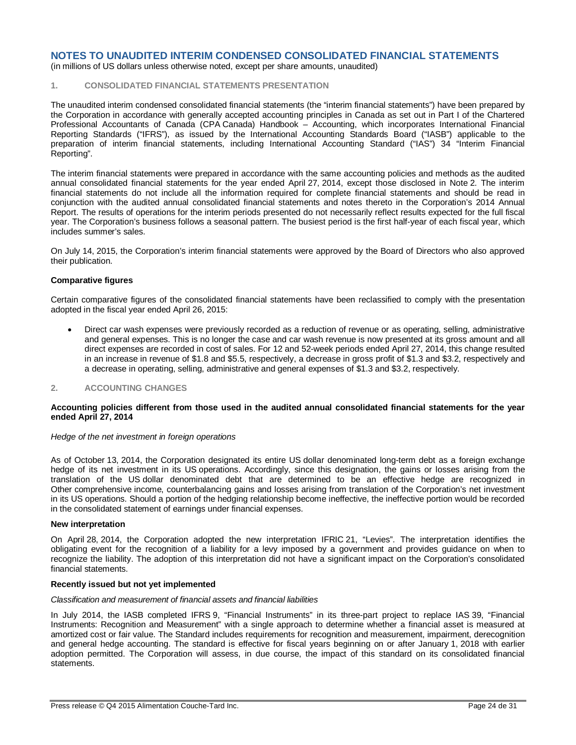(in millions of US dollars unless otherwise noted, except per share amounts, unaudited)

### **1. CONSOLIDATED FINANCIAL STATEMENTS PRESENTATION**

The unaudited interim condensed consolidated financial statements (the "interim financial statements") have been prepared by the Corporation in accordance with generally accepted accounting principles in Canada as set out in Part I of the Chartered Professional Accountants of Canada (CPA Canada) Handbook – Accounting, which incorporates International Financial Reporting Standards ("IFRS"), as issued by the International Accounting Standards Board ("IASB") applicable to the preparation of interim financial statements, including International Accounting Standard ("IAS") 34 "Interim Financial Reporting".

The interim financial statements were prepared in accordance with the same accounting policies and methods as the audited annual consolidated financial statements for the year ended April 27, 2014, except those disclosed in Note 2. The interim financial statements do not include all the information required for complete financial statements and should be read in conjunction with the audited annual consolidated financial statements and notes thereto in the Corporation's 2014 Annual Report. The results of operations for the interim periods presented do not necessarily reflect results expected for the full fiscal year. The Corporation's business follows a seasonal pattern. The busiest period is the first half-year of each fiscal year, which includes summer's sales.

On July 14, 2015, the Corporation's interim financial statements were approved by the Board of Directors who also approved their publication.

#### **Comparative figures**

Certain comparative figures of the consolidated financial statements have been reclassified to comply with the presentation adopted in the fiscal year ended April 26, 2015:

 Direct car wash expenses were previously recorded as a reduction of revenue or as operating, selling, administrative and general expenses. This is no longer the case and car wash revenue is now presented at its gross amount and all direct expenses are recorded in cost of sales. For 12 and 52-week periods ended April 27, 2014, this change resulted in an increase in revenue of \$1.8 and \$5.5, respectively, a decrease in gross profit of \$1.3 and \$3.2, respectively and a decrease in operating, selling, administrative and general expenses of \$1.3 and \$3.2, respectively.

### **2. ACCOUNTING CHANGES**

#### **Accounting policies different from those used in the audited annual consolidated financial statements for the year ended April 27, 2014**

#### *Hedge of the net investment in foreign operations*

As of October 13, 2014, the Corporation designated its entire US dollar denominated long-term debt as a foreign exchange hedge of its net investment in its US operations. Accordingly, since this designation, the gains or losses arising from the translation of the US dollar denominated debt that are determined to be an effective hedge are recognized in Other comprehensive income, counterbalancing gains and losses arising from translation of the Corporation's net investment in its US operations. Should a portion of the hedging relationship become ineffective, the ineffective portion would be recorded in the consolidated statement of earnings under financial expenses.

#### **New interpretation**

On April 28, 2014, the Corporation adopted the new interpretation IFRIC 21, "Levies". The interpretation identifies the obligating event for the recognition of a liability for a levy imposed by a government and provides guidance on when to recognize the liability. The adoption of this interpretation did not have a significant impact on the Corporation's consolidated financial statements.

#### **Recently issued but not yet implemented**

#### *Classification and measurement of financial assets and financial liabilities*

In July 2014, the IASB completed IFRS 9, "Financial Instruments" in its three-part project to replace IAS 39, "Financial Instruments: Recognition and Measurement" with a single approach to determine whether a financial asset is measured at amortized cost or fair value. The Standard includes requirements for recognition and measurement, impairment, derecognition and general hedge accounting. The standard is effective for fiscal years beginning on or after January 1, 2018 with earlier adoption permitted. The Corporation will assess, in due course, the impact of this standard on its consolidated financial statements.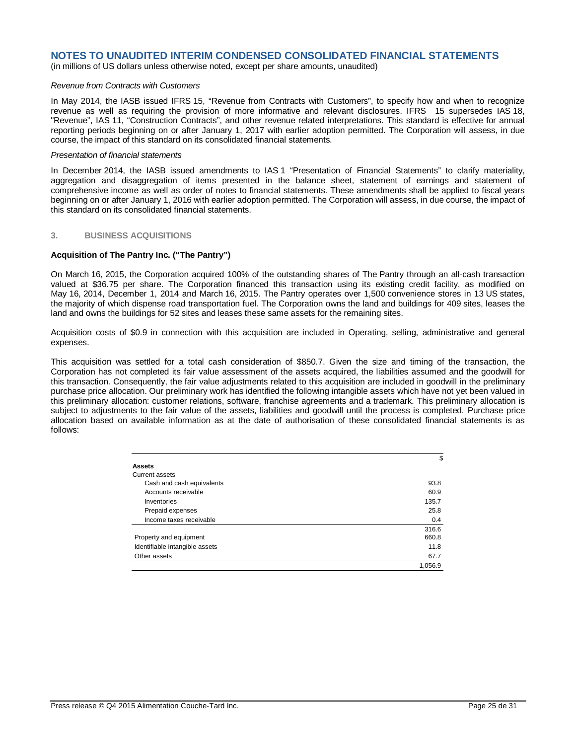(in millions of US dollars unless otherwise noted, except per share amounts, unaudited)

#### *Revenue from Contracts with Customers*

In May 2014, the IASB issued IFRS 15, "Revenue from Contracts with Customers", to specify how and when to recognize revenue as well as requiring the provision of more informative and relevant disclosures. IFRS 15 supersedes IAS 18, "Revenue", IAS 11, "Construction Contracts", and other revenue related interpretations. This standard is effective for annual reporting periods beginning on or after January 1, 2017 with earlier adoption permitted. The Corporation will assess, in due course, the impact of this standard on its consolidated financial statements.

### *Presentation of financial statements*

In December 2014, the IASB issued amendments to IAS 1 "Presentation of Financial Statements" to clarify materiality, aggregation and disaggregation of items presented in the balance sheet, statement of earnings and statement of comprehensive income as well as order of notes to financial statements. These amendments shall be applied to fiscal years beginning on or after January 1, 2016 with earlier adoption permitted. The Corporation will assess, in due course, the impact of this standard on its consolidated financial statements.

#### **3. BUSINESS ACQUISITIONS**

### **Acquisition of The Pantry Inc. ("The Pantry")**

On March 16, 2015, the Corporation acquired 100% of the outstanding shares of The Pantry through an all-cash transaction valued at \$36.75 per share. The Corporation financed this transaction using its existing credit facility, as modified on May 16, 2014, December 1, 2014 and March 16, 2015. The Pantry operates over 1,500 convenience stores in 13 US states, the majority of which dispense road transportation fuel. The Corporation owns the land and buildings for 409 sites, leases the land and owns the buildings for 52 sites and leases these same assets for the remaining sites.

Acquisition costs of \$0.9 in connection with this acquisition are included in Operating, selling, administrative and general expenses.

This acquisition was settled for a total cash consideration of \$850.7. Given the size and timing of the transaction, the Corporation has not completed its fair value assessment of the assets acquired, the liabilities assumed and the goodwill for this transaction. Consequently, the fair value adjustments related to this acquisition are included in goodwill in the preliminary purchase price allocation. Our preliminary work has identified the following intangible assets which have not yet been valued in this preliminary allocation: customer relations, software, franchise agreements and a trademark. This preliminary allocation is subject to adjustments to the fair value of the assets, liabilities and goodwill until the process is completed. Purchase price allocation based on available information as at the date of authorisation of these consolidated financial statements is as follows:

|                                | \$      |
|--------------------------------|---------|
| <b>Assets</b>                  |         |
| Current assets                 |         |
| Cash and cash equivalents      | 93.8    |
| Accounts receivable            | 60.9    |
| Inventories                    | 135.7   |
| Prepaid expenses               | 25.8    |
| Income taxes receivable        | 0.4     |
|                                | 316.6   |
| Property and equipment         | 660.8   |
| Identifiable intangible assets | 11.8    |
| Other assets                   | 67.7    |
|                                | 1,056.9 |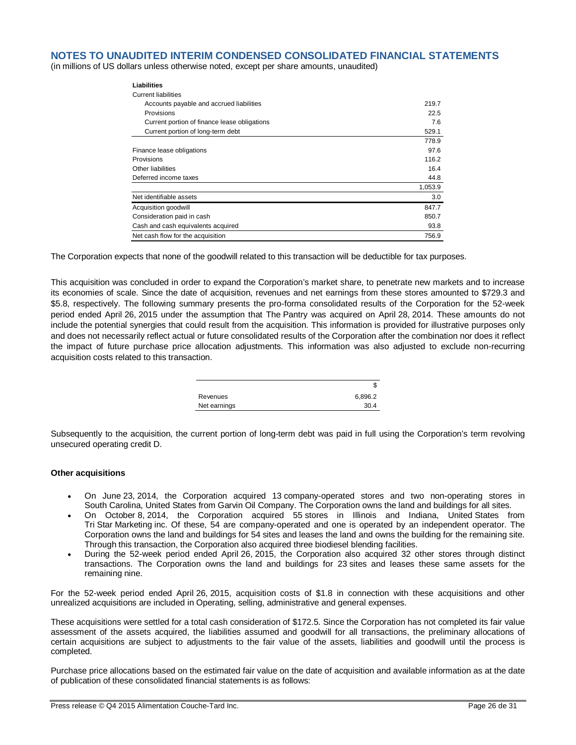(in millions of US dollars unless otherwise noted, except per share amounts, unaudited)

| Liabilities                                  |         |
|----------------------------------------------|---------|
| <b>Current liabilities</b>                   |         |
| Accounts payable and accrued liabilities     | 219.7   |
| Provisions                                   | 22.5    |
| Current portion of finance lease obligations | 7.6     |
| Current portion of long-term debt            | 529.1   |
|                                              | 778.9   |
| Finance lease obligations                    | 97.6    |
| Provisions                                   | 116.2   |
| Other liabilities                            | 16.4    |
| Deferred income taxes                        | 44.8    |
|                                              | 1,053.9 |
| Net identifiable assets                      | 3.0     |
| Acquisition goodwill                         | 847.7   |
| Consideration paid in cash                   | 850.7   |
| Cash and cash equivalents acquired           | 93.8    |
| Net cash flow for the acquisition            | 756.9   |

The Corporation expects that none of the goodwill related to this transaction will be deductible for tax purposes.

This acquisition was concluded in order to expand the Corporation's market share, to penetrate new markets and to increase its economies of scale. Since the date of acquisition, revenues and net earnings from these stores amounted to \$729.3 and \$5.8, respectively. The following summary presents the pro-forma consolidated results of the Corporation for the 52-week period ended April 26, 2015 under the assumption that The Pantry was acquired on April 28, 2014. These amounts do not include the potential synergies that could result from the acquisition. This information is provided for illustrative purposes only and does not necessarily reflect actual or future consolidated results of the Corporation after the combination nor does it reflect the impact of future purchase price allocation adjustments. This information was also adjusted to exclude non-recurring acquisition costs related to this transaction.

|              | Œ       |
|--------------|---------|
| Revenues     | 6,896.2 |
| Net earnings | 30.4    |

Subsequently to the acquisition, the current portion of long-term debt was paid in full using the Corporation's term revolving unsecured operating credit D.

### **Other acquisitions**

- On June 23, 2014, the Corporation acquired 13 company-operated stores and two non-operating stores in South Carolina, United States from Garvin Oil Company. The Corporation owns the land and buildings for all sites.
- On October 8, 2014, the Corporation acquired 55 stores in Illinois and Indiana, United States from Tri Star Marketing inc. Of these, 54 are company-operated and one is operated by an independent operator. The Corporation owns the land and buildings for 54 sites and leases the land and owns the building for the remaining site. Through this transaction, the Corporation also acquired three biodiesel blending facilities.
- During the 52-week period ended April 26, 2015, the Corporation also acquired 32 other stores through distinct transactions. The Corporation owns the land and buildings for 23 sites and leases these same assets for the remaining nine.

For the 52-week period ended April 26, 2015, acquisition costs of \$1.8 in connection with these acquisitions and other unrealized acquisitions are included in Operating, selling, administrative and general expenses.

These acquisitions were settled for a total cash consideration of \$172.5. Since the Corporation has not completed its fair value assessment of the assets acquired, the liabilities assumed and goodwill for all transactions, the preliminary allocations of certain acquisitions are subject to adjustments to the fair value of the assets, liabilities and goodwill until the process is completed.

Purchase price allocations based on the estimated fair value on the date of acquisition and available information as at the date of publication of these consolidated financial statements is as follows: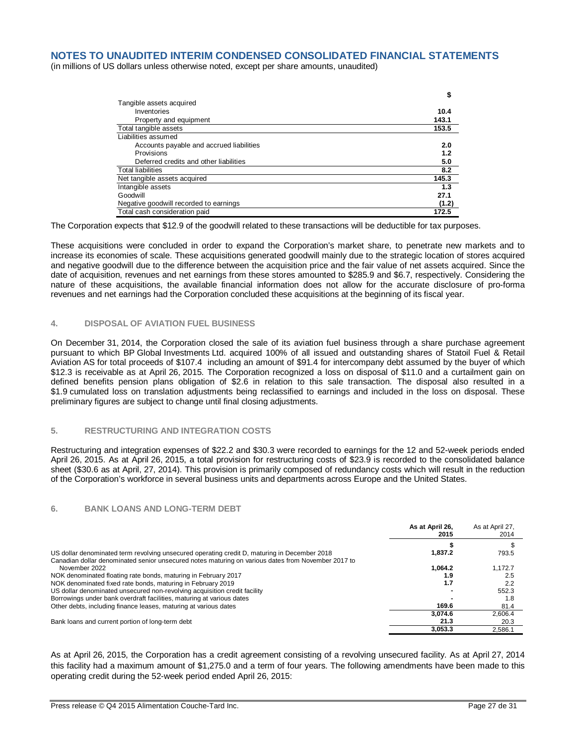(in millions of US dollars unless otherwise noted, except per share amounts, unaudited)

|                                          | \$    |
|------------------------------------------|-------|
| Tangible assets acquired                 |       |
| Inventories                              | 10.4  |
| Property and equipment                   | 143.1 |
| Total tangible assets                    | 153.5 |
| Liabilities assumed                      |       |
| Accounts payable and accrued liabilities | 2.0   |
| Provisions                               | 1.2   |
| Deferred credits and other liabilities   | 5.0   |
| <b>Total liabilities</b>                 | 8.2   |
| Net tangible assets acquired             | 145.3 |
| Intangible assets                        | 1.3   |
| Goodwill                                 | 27.1  |
| Negative goodwill recorded to earnings   | (1.2) |
| Total cash consideration paid            | 172.5 |

The Corporation expects that \$12.9 of the goodwill related to these transactions will be deductible for tax purposes.

These acquisitions were concluded in order to expand the Corporation's market share, to penetrate new markets and to increase its economies of scale. These acquisitions generated goodwill mainly due to the strategic location of stores acquired and negative goodwill due to the difference between the acquisition price and the fair value of net assets acquired. Since the date of acquisition, revenues and net earnings from these stores amounted to \$285.9 and \$6.7, respectively. Considering the nature of these acquisitions, the available financial information does not allow for the accurate disclosure of pro-forma revenues and net earnings had the Corporation concluded these acquisitions at the beginning of its fiscal year.

### **4. DISPOSAL OF AVIATION FUEL BUSINESS**

On December 31, 2014, the Corporation closed the sale of its aviation fuel business through a share purchase agreement pursuant to which BP Global Investments Ltd. acquired 100% of all issued and outstanding shares of Statoil Fuel & Retail Aviation AS for total proceeds of \$107.4 including an amount of \$91.4 for intercompany debt assumed by the buyer of which \$12.3 is receivable as at April 26, 2015. The Corporation recognized a loss on disposal of \$11.0 and a curtailment gain on defined benefits pension plans obligation of \$2.6 in relation to this sale transaction. The disposal also resulted in a \$1.9 cumulated loss on translation adjustments being reclassified to earnings and included in the loss on disposal. These preliminary figures are subject to change until final closing adjustments.

### **5. RESTRUCTURING AND INTEGRATION COSTS**

Restructuring and integration expenses of \$22.2 and \$30.3 were recorded to earnings for the 12 and 52-week periods ended April 26, 2015. As at April 26, 2015, a total provision for restructuring costs of \$23.9 is recorded to the consolidated balance sheet (\$30.6 as at April, 27, 2014). This provision is primarily composed of redundancy costs which will result in the reduction of the Corporation's workforce in several business units and departments across Europe and the United States.

#### **6. BANK LOANS AND LONG-TERM DEBT**

|                                                                                                                                                                                                    | As at April 26,<br>2015 | As at April 27,<br>2014 |
|----------------------------------------------------------------------------------------------------------------------------------------------------------------------------------------------------|-------------------------|-------------------------|
|                                                                                                                                                                                                    |                         |                         |
| US dollar denominated term revolving unsecured operating credit D, maturing in December 2018<br>Canadian dollar denominated senior unsecured notes maturing on various dates from November 2017 to | 1.837.2                 | 793.5                   |
| November 2022                                                                                                                                                                                      | 1.064.2                 | 1.172.7                 |
| NOK denominated floating rate bonds, maturing in February 2017                                                                                                                                     | 1.9                     | 2.5                     |
| NOK denominated fixed rate bonds, maturing in February 2019                                                                                                                                        | 1.7                     | 2.2                     |
| US dollar denominated unsecured non-revolving acquisition credit facility                                                                                                                          |                         | 552.3                   |
| Borrowings under bank overdraft facilities, maturing at various dates                                                                                                                              |                         | 1.8                     |
| Other debts, including finance leases, maturing at various dates                                                                                                                                   | 169.6                   | 81.4                    |
|                                                                                                                                                                                                    | 3.074.6                 | 2.606.4                 |
| Bank loans and current portion of long-term debt                                                                                                                                                   | 21.3                    | 20.3                    |
|                                                                                                                                                                                                    | 3.053.3                 | 2.586.1                 |

As at April 26, 2015, the Corporation has a credit agreement consisting of a revolving unsecured facility. As at April 27, 2014 this facility had a maximum amount of \$1,275.0 and a term of four years. The following amendments have been made to this operating credit during the 52-week period ended April 26, 2015: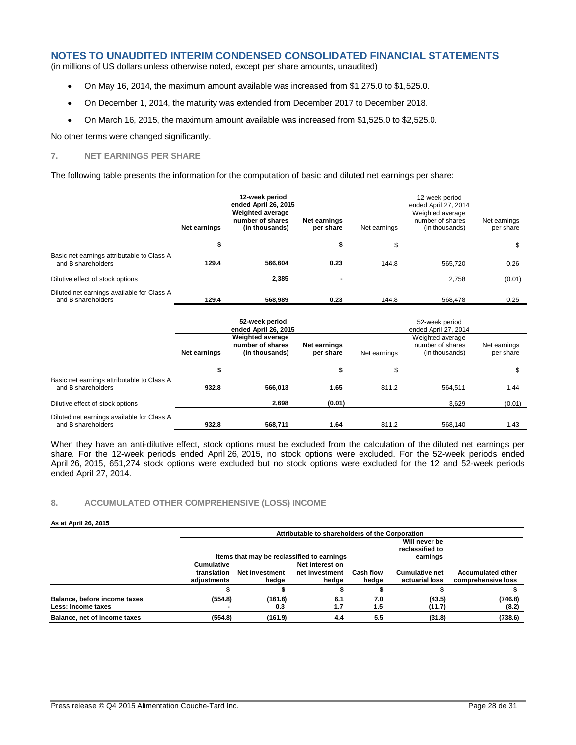(in millions of US dollars unless otherwise noted, except per share amounts, unaudited)

- On May 16, 2014, the maximum amount available was increased from \$1,275.0 to \$1,525.0.
- On December 1, 2014, the maturity was extended from December 2017 to December 2018.
- On March 16, 2015, the maximum amount available was increased from \$1,525.0 to \$2,525.0.

No other terms were changed significantly.

### **7. NET EARNINGS PER SHARE**

The following table presents the information for the computation of basic and diluted net earnings per share:

|                                                                  | 12-week period<br>ended April 26, 2015<br><b>Weighted average</b><br>number of shares<br>Net earnings<br>Net earnings<br>(in thousands)<br>per share |         |      | 12-week period<br>ended April 27, 2014<br>Weighted average<br>number of shares<br>Net earnings<br>Net earnings<br>(in thousands)<br>per share |         |        |  |
|------------------------------------------------------------------|------------------------------------------------------------------------------------------------------------------------------------------------------|---------|------|-----------------------------------------------------------------------------------------------------------------------------------------------|---------|--------|--|
|                                                                  | \$                                                                                                                                                   |         | \$   | \$                                                                                                                                            |         | S      |  |
| Basic net earnings attributable to Class A<br>and B shareholders | 129.4                                                                                                                                                | 566.604 | 0.23 | 144.8                                                                                                                                         | 565.720 | 0.26   |  |
| Dilutive effect of stock options                                 |                                                                                                                                                      | 2.385   |      |                                                                                                                                               | 2.758   | (0.01) |  |
| Diluted net earnings available for Class A<br>and B shareholders | 129.4                                                                                                                                                | 568,989 | 0.23 | 144.8                                                                                                                                         | 568,478 | 0.25   |  |

|                                                                  | 52-week period<br>ended April 26, 2015                                                                     |         |        | 52-week period<br>ended April 27, 2014 |                           |        |  |
|------------------------------------------------------------------|------------------------------------------------------------------------------------------------------------|---------|--------|----------------------------------------|---------------------------|--------|--|
|                                                                  | <b>Weighted average</b><br>number of shares<br>Net earnings<br>(in thousands)<br>per share<br>Net earnings |         |        | Net earnings                           | Net earnings<br>per share |        |  |
|                                                                  | \$                                                                                                         |         | ъ      | \$                                     |                           | S      |  |
| Basic net earnings attributable to Class A<br>and B shareholders | 932.8                                                                                                      | 566.013 | 1.65   | 811.2                                  | 564.511                   | 1.44   |  |
| Dilutive effect of stock options                                 |                                                                                                            | 2,698   | (0.01) |                                        | 3.629                     | (0.01) |  |
| Diluted net earnings available for Class A<br>and B shareholders | 932.8                                                                                                      | 568.711 | 1.64   | 811.2                                  | 568.140                   | 1.43   |  |

When they have an anti-dilutive effect, stock options must be excluded from the calculation of the diluted net earnings per share. For the 12-week periods ended April 26, 2015, no stock options were excluded. For the 52-week periods ended April 26, 2015, 651,274 stock options were excluded but no stock options were excluded for the 12 and 52-week periods ended April 27, 2014.

### **8. ACCUMULATED OTHER COMPREHENSIVE (LOSS) INCOME**

#### **As at April 26, 2015**

|                                                    |                                          | Attributable to shareholders of the Corporation |                                              |                           |                                         |                                                |  |  |
|----------------------------------------------------|------------------------------------------|-------------------------------------------------|----------------------------------------------|---------------------------|-----------------------------------------|------------------------------------------------|--|--|
|                                                    |                                          | Items that may be reclassified to earnings      | Will never be<br>reclassified to<br>earnings |                           |                                         |                                                |  |  |
|                                                    | Cumulative<br>translation<br>adiustments | <b>Net investment</b><br>hedge                  | Net interest on<br>net investment<br>hedge   | <b>Cash flow</b><br>hedge | <b>Cumulative net</b><br>actuarial loss | <b>Accumulated other</b><br>comprehensive loss |  |  |
|                                                    |                                          |                                                 |                                              |                           |                                         |                                                |  |  |
| Balance, before income taxes<br>Less: Income taxes | (554.8)                                  | (161.6)<br>0.3                                  | 6.1<br>1.7                                   | 7.0<br>1.5                | (43.5)<br>(11.7)                        | (746.8)<br>(8.2)                               |  |  |
| Balance, net of income taxes                       | (554.8)                                  | (161.9)                                         | 4.4                                          | 5.5                       | (31.8)                                  | (738.6)                                        |  |  |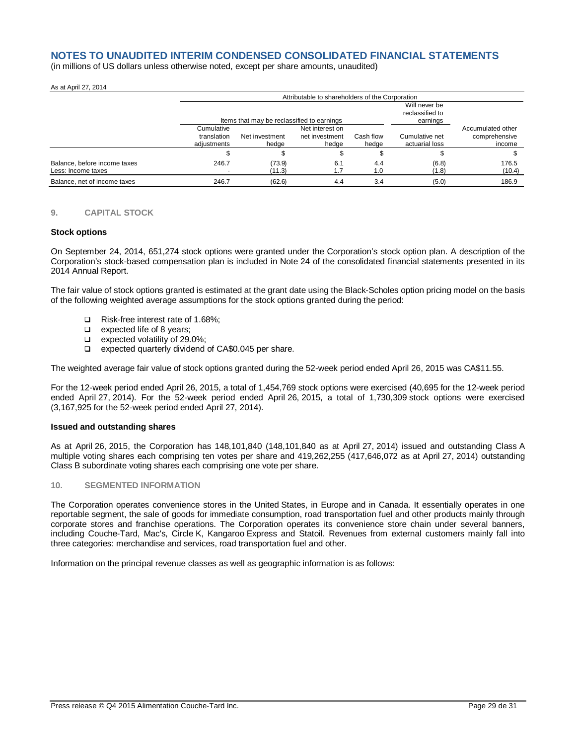(in millions of US dollars unless otherwise noted, except per share amounts, unaudited)

#### As at April 27, 2014

|                                                    |                                          | Attributable to shareholders of the Corporation |                                              |                    |                                  |                                              |  |
|----------------------------------------------------|------------------------------------------|-------------------------------------------------|----------------------------------------------|--------------------|----------------------------------|----------------------------------------------|--|
|                                                    |                                          | Items that may be reclassified to earnings      | Will never be<br>reclassified to<br>earnings |                    |                                  |                                              |  |
|                                                    | Cumulative<br>translation<br>adiustments | Net investment<br>hedge                         | Net interest on<br>net investment<br>hedge   | Cash flow<br>hedge | Cumulative net<br>actuarial loss | Accumulated other<br>comprehensive<br>income |  |
|                                                    |                                          |                                                 |                                              |                    |                                  |                                              |  |
| Balance, before income taxes<br>Less: Income taxes | 246.7                                    | (73.9)<br>(11.3)                                | 6.1                                          | 4.4<br>1.0         | (6.8)<br>(1.8)                   | 176.5<br>(10.4)                              |  |
| Balance, net of income taxes                       | 246.7                                    | (62.6)                                          | 4.4                                          | 3.4                | (5.0)                            | 186.9                                        |  |

### **9. CAPITAL STOCK**

#### **Stock options**

On September 24, 2014, 651,274 stock options were granted under the Corporation's stock option plan. A description of the Corporation's stock-based compensation plan is included in Note 24 of the consolidated financial statements presented in its 2014 Annual Report.

The fair value of stock options granted is estimated at the grant date using the Black-Scholes option pricing model on the basis of the following weighted average assumptions for the stock options granted during the period:

- Risk-free interest rate of 1.68%;
- $\Box$  expected life of 8 years;
- $\Box$  expected volatility of 29.0%;
- □ expected quarterly dividend of CA\$0.045 per share.

The weighted average fair value of stock options granted during the 52-week period ended April 26, 2015 was CA\$11.55.

For the 12-week period ended April 26, 2015, a total of 1,454,769 stock options were exercised (40,695 for the 12-week period ended April 27, 2014). For the 52-week period ended April 26, 2015, a total of 1,730,309 stock options were exercised (3,167,925 for the 52-week period ended April 27, 2014).

#### **Issued and outstanding shares**

As at April 26, 2015, the Corporation has 148,101,840 (148,101,840 as at April 27, 2014) issued and outstanding Class A multiple voting shares each comprising ten votes per share and 419,262,255 (417,646,072 as at April 27, 2014) outstanding Class B subordinate voting shares each comprising one vote per share.

#### **10. SEGMENTED INFORMATION**

The Corporation operates convenience stores in the United States, in Europe and in Canada. It essentially operates in one reportable segment, the sale of goods for immediate consumption, road transportation fuel and other products mainly through corporate stores and franchise operations. The Corporation operates its convenience store chain under several banners, including Couche-Tard, Mac's, Circle K, Kangaroo Express and Statoil. Revenues from external customers mainly fall into three categories: merchandise and services, road transportation fuel and other.

Information on the principal revenue classes as well as geographic information is as follows: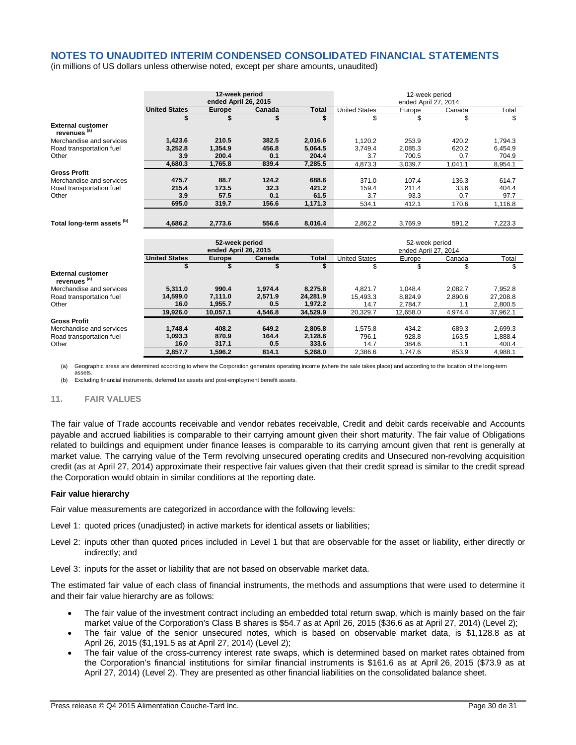(in millions of US dollars unless otherwise noted, except per share amounts, unaudited)

|                                                     | 12-week period<br>ended April 26, 2015 |               |         | 12-week period<br>ended April 27, 2014 |                      |          |         |          |
|-----------------------------------------------------|----------------------------------------|---------------|---------|----------------------------------------|----------------------|----------|---------|----------|
|                                                     | <b>United States</b>                   | <b>Europe</b> | Canada  | <b>Total</b>                           | <b>United States</b> | Europe   | Canada  | Total    |
|                                                     | \$                                     |               | \$      | \$                                     | \$                   | \$       | \$      | \$       |
| <b>External customer</b><br>revenues <sup>(a)</sup> |                                        |               |         |                                        |                      |          |         |          |
| Merchandise and services                            | 1,423.6                                | 210.5         | 382.5   | 2,016.6                                | 1,120.2              | 253.9    | 420.2   | 1,794.3  |
| Road transportation fuel                            | 3,252.8                                | 1,354.9       | 456.8   | 5,064.5                                | 3.749.4              | 2.085.3  | 620.2   | 6,454.9  |
| Other                                               | 3.9                                    | 200.4         | 0.1     | 204.4                                  | 3.7                  | 700.5    | 0.7     | 704.9    |
|                                                     | 4,680.3                                | 1,765.8       | 839.4   | 7,285.5                                | 4,873.3              | 3,039.7  | 1,041.1 | 8,954.1  |
| <b>Gross Profit</b>                                 |                                        |               |         |                                        |                      |          |         |          |
| Merchandise and services                            | 475.7                                  | 88.7          | 124.2   | 688.6                                  | 371.0                | 107.4    | 136.3   | 614.7    |
| Road transportation fuel                            | 215.4                                  | 173.5         | 32.3    | 421.2                                  | 159.4                | 211.4    | 33.6    | 404.4    |
| Other                                               | 3.9                                    | 57.5          | 0.1     | 61.5                                   | 3.7                  | 93.3     | 0.7     | 97.7     |
|                                                     | 695.0                                  | 319.7         | 156.6   | 1,171.3                                | 534.1                | 412.1    | 170.6   | 1,116.8  |
|                                                     |                                        |               |         |                                        |                      |          |         |          |
| Total long-term assets <sup>(b)</sup>               | 4.686.2                                | 2,773.6       | 556.6   | 8.016.4                                | 2.862.2              | 3,769.9  | 591.2   | 7,223.3  |
|                                                     | 52-week period<br>ended April 26, 2015 |               |         | 52-week period<br>ended April 27, 2014 |                      |          |         |          |
|                                                     | <b>United States</b>                   | Europe        | Canada  | <b>Total</b>                           | <b>United States</b> | Europe   | Canada  | Total    |
|                                                     | \$                                     | \$            | \$      | \$                                     | \$                   | \$       | \$      | \$       |
| <b>External customer</b><br>revenues <sup>(a)</sup> |                                        |               |         |                                        |                      |          |         |          |
| Merchandise and services                            | 5.311.0                                | 990.4         | 1,974.4 | 8,275.8                                | 4.821.7              | 1,048.4  | 2,082.7 | 7,952.8  |
| Road transportation fuel                            | 14,599.0                               | 7,111.0       | 2,571.9 | 24,281.9                               | 15.493.3             | 8.824.9  | 2,890.6 | 27,208.8 |
| Other                                               | 16.0                                   | 1,955.7       | 0.5     | 1.972.2                                | 14.7                 | 2.784.7  | 1.1     | 2,800.5  |
|                                                     | 19.926.0                               | 10.057.1      | 4.546.8 | 34,529.9                               | 20.329.7             | 12.658.0 | 4.974.4 | 37,962.1 |
| <b>Gross Profit</b>                                 |                                        |               |         |                                        |                      |          |         |          |
| Merchandise and services                            | 1.748.4                                | 408.2         | 649.2   | 2,805.8                                | 1,575.8              | 434.2    | 689.3   | 2,699.3  |
| Road transportation fuel                            | 1,093.3                                | 870.9         | 164.4   | 2,128.6                                | 796.1                | 928.8    | 163.5   | 1,888.4  |
| Other                                               | 16.0                                   | 317.1         | 0.5     | 333.6                                  | 14.7                 | 384.6    | 1.1     | 400.4    |
|                                                     | 2,857.7                                | 1,596.2       | 814.1   | 5,268.0                                | 2.386.6              | 1.747.6  | 853.9   | 4.988.1  |

(a) Geographic areas are determined according to where the Corporation generates operating income (where the sale takes place) and according to the location of the long-term assets.

(b) Excluding financial instruments, deferred tax assets and post-employment benefit assets.

### **11. FAIR VALUES**

The fair value of Trade accounts receivable and vendor rebates receivable, Credit and debit cards receivable and Accounts payable and accrued liabilities is comparable to their carrying amount given their short maturity. The fair value of Obligations related to buildings and equipment under finance leases is comparable to its carrying amount given that rent is generally at market value. The carrying value of the Term revolving unsecured operating credits and Unsecured non-revolving acquisition credit (as at April 27, 2014) approximate their respective fair values given that their credit spread is similar to the credit spread the Corporation would obtain in similar conditions at the reporting date.

### **Fair value hierarchy**

Fair value measurements are categorized in accordance with the following levels:

Level 1: quoted prices (unadjusted) in active markets for identical assets or liabilities;

Level 2: inputs other than quoted prices included in Level 1 but that are observable for the asset or liability, either directly or indirectly; and

Level 3: inputs for the asset or liability that are not based on observable market data.

The estimated fair value of each class of financial instruments, the methods and assumptions that were used to determine it and their fair value hierarchy are as follows:

- The fair value of the investment contract including an embedded total return swap, which is mainly based on the fair market value of the Corporation's Class B shares is \$54.7 as at April 26, 2015 (\$36.6 as at April 27, 2014) (Level 2);
- The fair value of the senior unsecured notes, which is based on observable market data, is \$1,128.8 as at April 26, 2015 (\$1,191.5 as at April 27, 2014) (Level 2);
- The fair value of the cross-currency interest rate swaps, which is determined based on market rates obtained from the Corporation's financial institutions for similar financial instruments is \$161.6 as at April 26, 2015 (\$73.9 as at April 27, 2014) (Level 2). They are presented as other financial liabilities on the consolidated balance sheet.